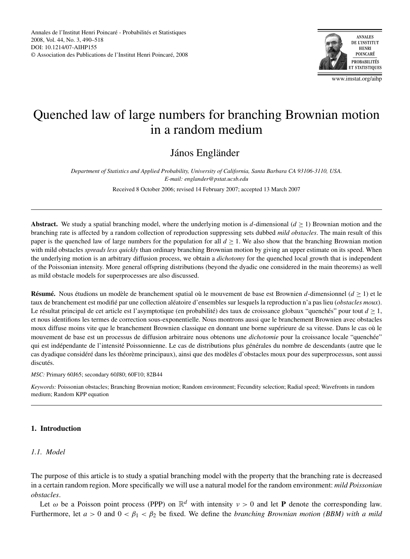

www.imstat.org/aihp

# Quenched law of large numbers for branching Brownian motion in a random medium

# János Engländer

*Department of Statistics and Applied Probability, University of California, Santa Barbara CA 93106-3110, USA. E-mail: englander@pstat.ucsb.edu*

Received 8 October 2006; revised 14 February 2007; accepted 13 March 2007

**Abstract.** We study a spatial branching model, where the underlying motion is *d*-dimensional  $(d \ge 1)$  Brownian motion and the branching rate is affected by a random collection of reproduction suppressing sets dubbed *mild obstacles*. The main result of this paper is the quenched law of large numbers for the population for all  $d \geq 1$ . We also show that the branching Brownian motion with mild obstacles *spreads less quickly* than ordinary branching Brownian motion by giving an upper estimate on its speed. When the underlying motion is an arbitrary diffusion process, we obtain a *dichotomy* for the quenched local growth that is independent of the Poissonian intensity. More general offspring distributions (beyond the dyadic one considered in the main theorems) as well as mild obstacle models for superprocesses are also discussed.

**Résumé.** Nous étudions un modèle de branchement spatial où le mouvement de base est Brownien *d*-dimensionnel (*d* ≥ 1) et le taux de branchement est modifié par une collection aléatoire d'ensembles sur lesquels la reproduction n'a pas lieu (*obstacles moux*). Le résultat principal de cet article est l'asymptotique (en probabilité) des taux de croissance globaux "quenchés" pour tout *d* ≥ 1, et nous identifions les termes de correction sous-exponentielle. Nous montrons aussi que le branchement Brownien avec obstacles moux diffuse moins vite que le branchement Brownien classique en donnant une borne supérieure de sa vitesse. Dans le cas où le mouvement de base est un processus de diffusion arbitraire nous obtenons une *dichotomie* pour la croissance locale "quenchée" qui est indépendante de l'intensité Poissonnienne. Le cas de distributions plus générales du nombre de descendants (autre que le cas dyadique considéré dans les théorème principaux), ainsi que des modèles d'obstacles moux pour des superprocessus, sont aussi discutés.

*MSC:* Primary 60J65; secondary 60J80; 60F10; 82B44

*Keywords:* Poissonian obstacles; Branching Brownian motion; Random environment; Fecundity selection; Radial speed; Wavefronts in random medium; Random KPP equation

# **1. Introduction**

# *1.1. Model*

The purpose of this article is to study a spatial branching model with the property that the branching rate is decreased in a certain random region. More specifically we will use a natural model for the random environment: *mild Poissonian obstacles*.

Let  $\omega$  be a Poisson point process (PPP) on  $\mathbb{R}^d$  with intensity  $\nu > 0$  and let **P** denote the corresponding law. Furthermore, let  $a > 0$  and  $0 < \beta_1 < \beta_2$  be fixed. We define the *branching Brownian motion (BBM) with a mild*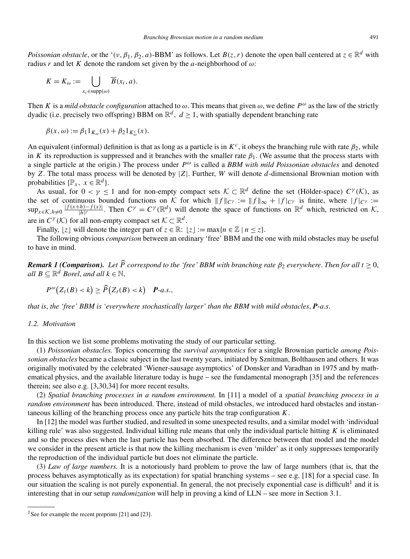*Poissonian obstacle*, or the ' $(\nu, \beta_1, \beta_2, a)$ -BBM' as follows. Let  $B(z, r)$  denote the open ball centered at  $z \in \mathbb{R}^d$  with radius *r* and let *K* denote the random set given by the *a*-neighborhood of  $\omega$ : *F k mian obstacle*, or *k r* and let *K* denot  $K = K_{\omega} := \bigcup$ 

$$
K = K_{\omega} := \bigcup_{x_i \in \text{supp}(\omega)} \overline{B}(x_i, a).
$$

Then *K* is a *mild obstacle configuration* attached to  $\omega$ . This means that given  $\omega$ , we define  $P^{\omega}$  as the law of the strictly dyadic (i.e. precisely two offspring) BBM on  $\mathbb{R}^d$ ,  $d > 1$ , with spatially dependent branching rate

$$
\beta(x,\omega) := \beta_1 1_{K_{\omega}}(x) + \beta_2 1_{K_{\omega}^c}(x).
$$

An equivalent (informal) definition is that as long as a particle is in  $K^c$ , it obeys the branching rule with rate  $\beta_2$ , while in *K* its reproduction is suppressed and it branches with the smaller rate  $\beta_1$ . (We assume that the process starts with a single particle at the origin.) The process under  $P^{\omega}$  is called a *BBM with mild Poissonian obstacles* and denoted by *Z*. The total mass process will be denoted by |*Z*|. Further, *W* will denote *d*-dimensional Brownian motion with probabilities  $\{\mathbb{P}_x, x \in \mathbb{R}^d\}.$ 

As usual, for  $0 < \gamma \le 1$  and for non-empty compact sets  $K \subset \mathbb{R}^d$  define the set (Hölder-space)  $C^{\gamma}(\mathcal{K})$ , as the set of continuous bounded functions on K for which  $||f||_{C^{\gamma}} := ||f||_{\infty} + |f|_{C^{\gamma}}$  is finite, where  $|f|_{C^{\gamma}} :=$  $\sup_{x \in \mathcal{K}, h \neq 0} \frac{|f(x+h) - f(x)|}{|h|^\gamma}$  $\frac{f(h)-f(x)}{h|y}$ . Then  $C^{\gamma} = C^{\gamma}(\mathbb{R}^d)$  will denote the space of functions on  $\mathbb{R}^d$  which, restricted on K, are in  $C^{\gamma}(\mathcal{K})$  for all non-empty compact set  $\mathcal{K} \subset \mathbb{R}^d$ .

Finally,  $\lfloor z \rfloor$  will denote the integer part of  $z \in \mathbb{R}$ :  $\lfloor z \rfloor := \max\{n \in \mathbb{Z} \mid n \leq z\}$ *.* 

The following obvious *comparison* between an ordinary 'free' BBM and the one with mild obstacles may be useful to have in mind.

*Remark 1 (Comparison). Let P correspond to the 'free' BBM with branching rate β*<sup>2</sup> *everywhere*. *Then for all t* ≥ 0, *all*  $B \subseteq \mathbb{R}^d$  *Borel, and all*  $k \in \mathbb{N}$ , *Pk I* (*Comparison*). Let  $\widehat{P}$  correspond to t.<br>  $\subseteq \mathbb{R}^d$  *Borel, and all*  $k \in \mathbb{N}$ ,<br>  $P^{\omega}(Z_t(B) < k) \ge \widehat{P}(Z_t(B) < k)$  *P-a.s.,* 

$$
P^{\omega}(Z_t(B) < k) \ge \widehat{P}(Z_t(B) < k) \quad \text{P-a.s.}
$$

*that is*, *the 'free' BBM is 'everywhere stochastically larger' than the BBM with mild obstacles*, *P-a*.*s*.

# *1.2. Motivation*

In this section we list some problems motivating the study of our particular setting.

(1) *Poissonian obstacles.* Topics concerning the *survival asymptotics* for a single Brownian particle *among Poissonian obstacles* became a classic subject in the last twenty years, initiated by Sznitman, Bolthausen and others. It was originally motivated by the celebrated 'Wiener-sausage asymptotics' of Donsker and Varadhan in 1975 and by mathematical physics, and the available literature today is huge – see the fundamental monograph [35] and the references therein; see also e.g. [3,30,34] for more recent results.

(2) *Spatial branching processes in a random environment.* In [11] a model of a *spatial branching process in a random environment* has been introduced. There, instead of mild obstacles, we introduced hard obstacles and instantaneous killing of the branching process once any particle hits the trap configuration *K*.

In [12] the model was further studied, and resulted in some unexpected results, and a similar model with 'individual killing rule' was also suggested. Individual killing rule means that only the individual particle hitting *K* is eliminated and so the process dies when the last particle has been absorbed. The difference between that model and the model we consider in the present article is that now the killing mechanism is even 'milder' as it only suppresses temporarily the reproduction of the individual particle but does not eliminate the particle.

(3) *Law of large numbers.* It is a notoriously hard problem to prove the law of large numbers (that is, that the process behaves asymptotically as its expectation) for spatial branching systems – see e.g. [18] for a special case. In our situation the scaling is not purely exponential. In general, the not precisely exponential case is difficult<sup>1</sup> and it is interesting that in our setup *randomization* will help in proving a kind of LLN – see more in Section 3.1.

<sup>&</sup>lt;sup>1</sup> See for example the recent preprints [21] and [23].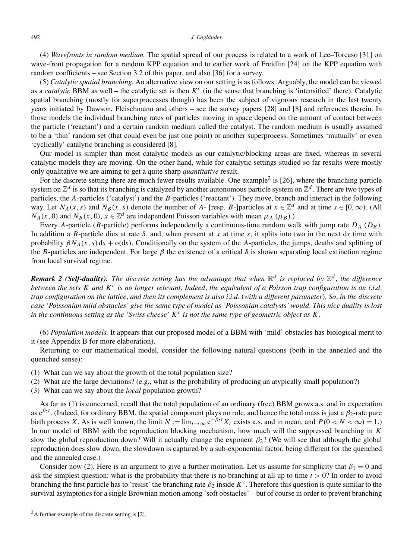(4) *Wavefronts in random medium.* The spatial spread of our process is related to a work of Lee–Torcaso [31] on wave-front propagation for a random KPP equation and to earlier work of Freidlin [24] on the KPP equation with random coefficients – see Section 3.2 of this paper, and also [36] for a survey.

(5) *Catalytic spatial branching.* An alternative view on our setting is as follows. Arguably, the model can be viewed as a *catalytic* BBM as well – the catalytic set is then *K<sup>c</sup>* (in the sense that branching is 'intensified' there). Catalytic spatial branching (mostly for superprocesses though) has been the subject of vigorous research in the last twenty years initiated by Dawson, Fleischmann and others – see the survey papers [28] and [8] and references therein. In those models the individual branching rates of particles moving in space depend on the amount of contact between the particle ('reactant') and a certain random medium called the catalyst. The random medium is usually assumed to be a 'thin' random set (that could even be just one point) or another superprocess. Sometimes 'mutually' or even 'cyclically' catalytic branching is considered [8].

Our model is simpler than most catalytic models as our catalytic/blocking areas are fixed, whereas in several catalytic models they are moving. On the other hand, while for catalytic settings studied so far results were mostly only qualitative we are aiming to get a quite sharp *quantitative* result.

For the discrete setting there are much fewer results available. One example<sup>2</sup> is [26], where the branching particle system on  $\mathbb{Z}^d$  is so that its branching is catalyzed by another autonomous particle system on  $\mathbb{Z}^d$ . There are two types of particles, the *A*-particles ('catalyst') and the *B*-particles ('reactant'). They move, branch and interact in the following way. Let  $N_A(x, s)$  and  $N_B(x, s)$  denote the number of *A*- [resp. *B*-]particles at  $x \in \mathbb{Z}^d$  and at time  $s \in [0, \infty)$ . (All  $N_A(x, 0)$  and  $N_B(x, 0)$ ,  $x \in \mathbb{Z}^d$  are independent Poisson variables with mean  $\mu_A$  ( $\mu_B$ ).)

Every *A*-particle (*B*-particle) performs independently a continuous-time random walk with jump rate  $D_A$  ( $D_B$ ). In addition a *B*-particle dies at rate  $\delta$ , and, when present at *x* at time *s*, it splits into two in the next ds time with probability  $\beta N_A(x, s)$  ds + o(ds). Conditionally on the system of the *A*-particles, the jumps, deaths and splitting of the *B*-particles are independent. For large  $\beta$  the existence of a critical  $\delta$  is shown separating local extinction regime from local survival regime.

*Remark 2 (Self-duality). The discrete setting has the advantage that when* $\mathbb{R}^d$ *is replaced by* $\mathbb{Z}^d$ **, the difference** *between the sets K and K<sup>c</sup> is no longer relevant*. *Indeed*, *the equivalent of a Poisson trap configuration is an i*.*i*.*d*. *trap configuration on the lattice*, *and then its complement is also i*.*i*.*d*. (*with a different parameter*). *So*, *in the discrete case 'Poissonian mild obstacles' give the same type of model as 'Poissonian catalysts' would*. *This nice duality is lost in the continuous setting as the 'Swiss cheese' K<sup>c</sup> is not the same type of geometric object as K*.

(6) *Population models.* It appears that our proposed model of a BBM with 'mild' obstacles has biological merit to it (see Appendix B for more elaboration).

Returning to our mathematical model, consider the following natural questions (both in the annealed and the quenched sense):

- (1) What can we say about the growth of the total population size?
- (2) What are the large deviations? (e.g., what is the probability of producing an atypically small population?)
- (3) What can we say about the *local* population growth?

As far as (1) is concerned, recall that the total population of an ordinary (free) BBM grows a.s. and in expectation as e*β*2*<sup>t</sup>* . (Indeed, for ordinary BBM, the spatial component plays no role, and hence the total mass is just a *β*2-rate pure birth process *X*. As is well known, the limit  $N := \lim_{t \to \infty} e^{-\beta_2 t} X_t$  exists a.s. and in mean, and  $P(0 < N < \infty) = 1$ .) In our model of BBM with the reproduction blocking mechanism, how much will the suppressed branching in *K* slow the global reproduction down? Will it actually change the exponent *β*2? (We will see that although the global reproduction does slow down, the slowdown is captured by a sub-exponential factor, being different for the quenched and the annealed case.)

Consider now (2). Here is an argument to give a further motivation. Let us assume for simplicity that  $\beta_1 = 0$  and ask the simplest question: what is the probability that there is no branching at all up to time *t >* 0? In order to avoid branching the first particle has to 'resist' the branching rate *β*<sup>2</sup> inside *Kc*. Therefore this question is quite similar to the survival asymptotics for a single Brownian motion among 'soft obstacles' – but of course in order to prevent branching

 $2A$  further example of the discrete setting is [2].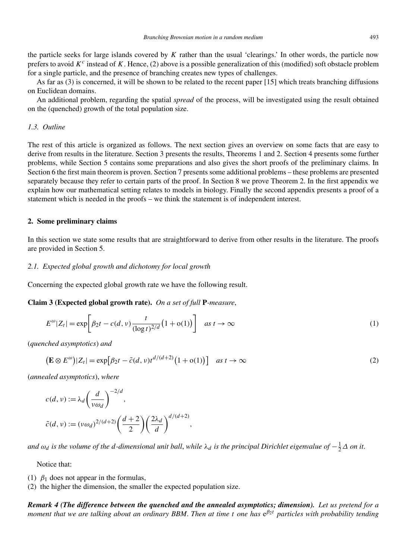the particle seeks for large islands covered by *K* rather than the usual 'clearings.' In other words, the particle now prefers to avoid  $K^c$  instead of K. Hence, (2) above is a possible generalization of this (modified) soft obstacle problem for a single particle, and the presence of branching creates new types of challenges.

As far as (3) is concerned, it will be shown to be related to the recent paper [15] which treats branching diffusions on Euclidean domains.

An additional problem, regarding the spatial *spread* of the process, will be investigated using the result obtained on the (quenched) growth of the total population size.

# *1.3. Outline*

The rest of this article is organized as follows. The next section gives an overview on some facts that are easy to derive from results in the literature. Section 3 presents the results, Theorems 1 and 2. Section 4 presents some further problems, while Section 5 contains some preparations and also gives the short proofs of the preliminary claims. In Section 6 the first main theorem is proven. Section 7 presents some additional problems – these problems are presented separately because they refer to certain parts of the proof. In Section 8 we prove Theorem 2. In the first appendix we explain how our mathematical setting relates to models in biology. Finally the second appendix presents a proof of a statement which is needed in the proofs – we think the statement is of independent interest.

# **2. Some preliminary claims**

In this section we state some results that are straightforward to derive from other results in the literature. The proofs are provided in Section 5.

### *2.1. Expected global growth and dichotomy for local growth*

Concerning the expected global growth rate we have the following result.

**Claim 3 (Expected global growth rate).** *On a set of full* **P***-measure*,

erning the expected global growth rate we have the following result.  
\n**n 3 (Expected global growth rate).** On a set of full **P**-measure,  
\n
$$
E^{\omega} |Z_t| = \exp \left[ \beta_2 t - c(d, v) \frac{t}{(\log t)^{2/d}} (1 + o(1)) \right] \quad \text{as } t \to \infty
$$
\n(1)  
\n
$$
\text{hched asymptotics and}
$$
\n
$$
(\mathbf{E} \otimes E^{\omega}) |Z_t| = \exp [\beta_2 t - \tilde{c}(d, v) t^{d/(d+2)} (1 + o(1))] \quad \text{as } t \to \infty
$$
\n(2)

(*quenched asymptotics*) *and*

$$
\left(\mathbf{E}\otimes E^{\omega}\right)|Z_t| = \exp\left[\beta_2 t - \tilde{c}(d,\nu)t^{d/(d+2)}\left(1+\mathbf{o}(1)\right)\right] \quad \text{as } t \to \infty
$$
\n<sup>(2)</sup>

(*annealed asymptotics*), *where*

$$
c(d, v) := \lambda_d \left(\frac{d}{v\omega_d}\right)^{-2/d},
$$
  

$$
\tilde{c}(d, v) := (v\omega_d)^{2/(d+2)} \left(\frac{d+2}{2}\right) \left(\frac{2\lambda_d}{d}\right)^{d/(d+2)},
$$

 $a$ nd  $\omega_d$  is the volume of the  $d$ *-dimensional unit ball, while*  $\lambda_d$  is the principal Dirichlet eigenvalue of  $-\frac{1}{2}\Delta$  on it.

Notice that:

(1)  $\beta_1$  does not appear in the formulas,

(2) the higher the dimension, the smaller the expected population size.

*Remark 4 (The difference between the quenched and the annealed asymptotics; dimension). Let us pretend for a moment that we are talking about an ordinary BBM*. *Then at time t one has* e*β*2*<sup>t</sup> particles with probability tending*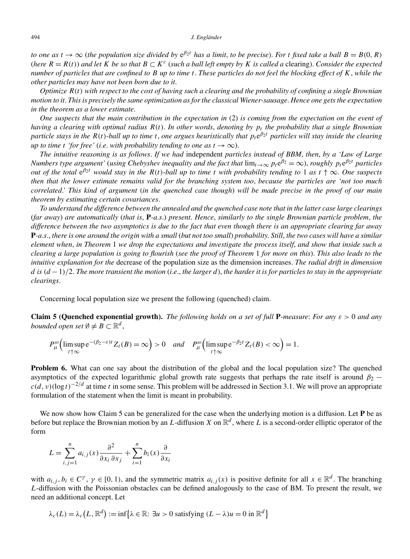*to one as*  $t \to \infty$  (*the population size divided by*  $e^{\beta_2 t}$  *has a limit, to be precise*). *For t fixed take a ball*  $B = B(0, R)$ (*here*  $R = R(t)$ ) and let K be so that  $B \subset K^c$  (*such a ball left empty by* K *is called a* clearing). Consider the expected *number of particles that are confined to B up to time t*. *These particles do not feel the blocking effect of K*, *while the other particles may have not been born due to it*.

*Optimize R(t) with respect to the cost of having such a clearing and the probability of confining a single Brownian motion to it*. *This is precisely the same optimization as for the classical Wiener-sausage*. *Hence one gets the expectation in the theorem as a lower estimate*.

*One suspects that the main contribution in the expectation in* (2) *is coming from the expectation on the event of having a clearing with optimal radius R(t)*. *In other words*, *denoting by pt the probability that a single Brownian particle stays in the*  $R(t)$ *-ball up to time t*, *one argues heuristically that*  $p_t e^{\beta_2 t}$  *particles will stay inside the clearing up to time t 'for free'* (*i.e. with probability tending to one as*  $t \to \infty$ ).

*The intuitive reasoning is as follows*. *If we had* independent *particles instead of BBM*, *then*, *by a 'Law of Large Numbers type argument'* (*using Chebyshev inequality and the fact that*  $\lim_{t\to\infty} p_t e^{\beta_2} = \infty$ ), *roughly*  $p_t e^{\beta_2 t}$  *particles out of the total*  $e^{\beta_2 t}$  *would stay in the*  $R(t)$ *-ball up to time t with probability tending to* 1 *as*  $t \uparrow \infty$ *. One suspects then that the lower estimate remains valid for the branching system too*, *because the particles are 'not too much correlated*.*' This kind of argument* (*in the quenched case though*) *will be made precise in the proof of our main theorem by estimating certain covariances*.

*To understand the difference between the annealed and the quenched case note that in the latter case large clearings* (*far away*) *are automatically* (*that is*, **P***-a*.*s*.) *present*. *Hence*, *similarly to the single Brownian particle problem*, *the difference between the two asymptotics is due to the fact that even though there is an appropriate clearing far away* **P***-a*.*s*., *there is one around the origin with a small* (*but not too small*) *probability*. *Still*, *the two cases will have a similar element when*, *in Theorem* 1 *we drop the expectations and investigate the process itself*, *and show that inside such a clearing a large population is going to flourish* (*see the proof of Theorem* 1 *for more on this*). *This also leads to the intuitive explanation for the* decrease of the population size as the dimension increases. *The radial drift in dimension d is (d* −1*)/*2. *The more transient the motion* (*i*.*e*., *the larger d*), *the harder it is for particles to stay in the appropriate clearings*.

Concerning local population size we present the following (quenched) claim.

**Claim 5 (Quenched exponential growth).** *The following holds on a set of full* **P***-measure*: *For any ε >* 0 *and any bounded open set*  $\emptyset \neq B \subset \mathbb{R}^d$ , **ed exponential grow**<br>  $\emptyset \neq B \subset \mathbb{R}^d$ ,<br>  $e^{-(\beta_2 - \varepsilon)t} Z_t(B) = \infty$ 

$$
P_{\mu}^{\omega}\Big(\limsup_{t\uparrow\infty}e^{-(\beta_2-\varepsilon)t}Z_t(B)=\infty\Big)>0 \quad and \quad P_{\mu}^{\omega}\Big(\limsup_{t\uparrow\infty}e^{-\beta_2t}Z_t(B)<\infty\Big)=1.
$$

**Problem 6.** What can one say about the distribution of the global and the local population size? The quenched asymptotics of the expected logarithmic global growth rate suggests that perhaps the rate itself is around  $\beta_2$  −  $c(d, v)(\log t)^{-2/d}$  at time *t* in some sense. This problem will be addressed in Section 3.1. We will prove an appropriate formulation of the statement when the limit is meant in probability.

We now show how Claim 5 can be generalized for the case when the underlying motion is a diffusion. Let **P** be as before but replace the Brownian motion by an *L*-diffusion *X* on  $\mathbb{R}^d$ , where *L* is a second-order elliptic operator of the form<br>form<br> $L = \sum_{i=1}^{n} a_{i,j}(x) \frac{\partial^2}{\partial x_i \partial x_j} + \sum_{i=1}^{n} b_i(x) \frac{\partial}{\partial x_i}$ form

$$
L = \sum_{i,j=1}^{n} a_{i,j}(x) \frac{\partial^2}{\partial x_i \partial x_j} + \sum_{i=1}^{n} b_i(x) \frac{\partial}{\partial x_i}
$$

with  $a_{i,j}$ ,  $b_i \in C^\gamma$ ,  $\gamma \in [0, 1)$ , and the symmetric matrix  $a_{i,j}(x)$  is positive definite for all  $x \in \mathbb{R}^d$ . The branching *L*-diffusion with the Poissonian obstacles can be defined analogously to the case of BM. To present the result, we need an additional concept. Let *l,*  $\gamma \in [0, 1)$ , and the symmetric matrix  $a_{i,j}(x)$  is positive due Poissonian obstacles can be defined analogously to the concept. Let  $L, \mathbb{R}^d$  := inf{ $\lambda \in \mathbb{R}$ :  $\exists u > 0$  satisfying  $(L - \lambda)u = 0$  in  $\mathbb{R}^d$ }

$$
\lambda_c(L) = \lambda_c(L, \mathbb{R}^d) := \inf \{ \lambda \in \mathbb{R} : \exists u > 0 \text{ satisfying } (L - \lambda)u = 0 \text{ in } \mathbb{R}^d \}
$$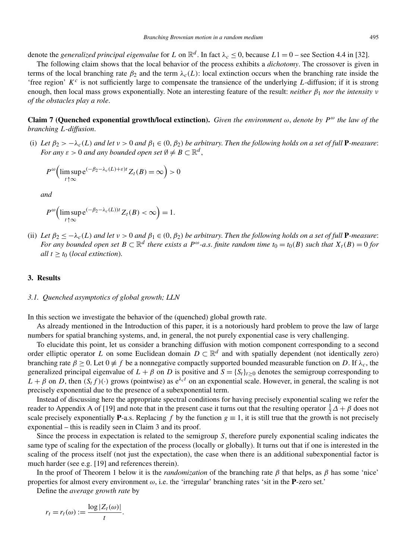denote the *generalized principal eigenvalue* for *L* on  $\mathbb{R}^d$ . In fact  $\lambda_c \le 0$ , because  $L1 = 0$  – see Section 4.4 in [32].

The following claim shows that the local behavior of the process exhibits a *dichotomy*. The crossover is given in terms of the local branching rate  $\beta_2$  and the term  $\lambda_c(L)$ : local extinction occurs when the branching rate inside the 'free region'  $K^c$  is not sufficiently large to compensate the transience of the underlying *L*-diffusion; if it is strong enough, then local mass grows exponentially. Note an interesting feature of the result: *neither β*<sup>1</sup> *nor the intensity ν of the obstacles play a role*.

**Claim 7 (Quenched exponential growth/local extinction).** *Given the environment*  $\omega$ , *denote* by  $P^{\omega}$  *the law of the branching L-diffusion*. Ĩ.

(i) Let  $\beta_2 > -\lambda_c(L)$  and let  $v > 0$  and  $\beta_1 \in (0, \beta_2)$  be arbitrary. Then the following holds on a set of full **P**-measure: *For any*  $\varepsilon > 0$  *and any bounded open set*  $\emptyset \neq B \subset \mathbb{R}^d$ , *(L)* and let  $v > 0$  and  $\beta_1 \in (0, 0, \ldots, \beta_n)$ <br>e<sup> $(-\beta_2 - \lambda_c(L) + \varepsilon)t Z_t(B) = \infty$ </sup>

$$
P^{\omega}\Big(\limsup_{t \uparrow \infty} e^{(-\beta_2 - \lambda_c(L) + \varepsilon)t} Z_t(B) = \infty\Big) > 0
$$

*and*

$$
P^{\omega}\Big(\limsup_{t \uparrow \infty} e^{(-\beta_2 - \lambda_c(L))t} Z_t(B) < \infty\Big) = 1.
$$

(ii) Let  $\beta_2 \leq -\lambda_c(L)$  and let  $v > 0$  and  $\beta_1 \in (0, \beta_2)$  be arbitrary. Then the following holds on a set of full **P**-measure: *For any bounded open set*  $B \subset \mathbb{R}^d$  *there exists a*  $P^\omega$ -*a.s. finite random time*  $t_0 = t_0(B)$  *such that*  $X_t(B) = 0$  *for all*  $t > t_0$  (*local extinction*).

### **3. Results**

#### *3.1. Quenched asymptotics of global growth; LLN*

In this section we investigate the behavior of the (quenched) global growth rate.

As already mentioned in the Introduction of this paper, it is a notoriously hard problem to prove the law of large numbers for spatial branching systems, and, in general, the not purely exponential case is very challenging.

To elucidate this point, let us consider a branching diffusion with motion component corresponding to a second order elliptic operator *L* on some Euclidean domain  $D \subset \mathbb{R}^d$  and with spatially dependent (not identically zero) branching rate *β* ≥ 0. Let 0 ≡ *f* be a nonnegative compactly supported bounded measurable function on *D*. If *λc*, the generalized principal eigenvalue of  $L + \beta$  on *D* is positive and  $S = \{S_t\}_{t \geq 0}$  denotes the semigroup corresponding to  $L + \beta$  on *D*, then  $(S_t f)(\cdot)$  grows (pointwise) as  $e^{\lambda_c t}$  on an exponential scale. However, in general, the scaling is not precisely exponential due to the presence of a subexponential term.

Instead of discussing here the appropriate spectral conditions for having precisely exponential scaling we refer the reader to Appendix A of [19] and note that in the present case it turns out that the resulting operator  $\frac{1}{2}\Delta + \beta$  does not scale precisely exponentially **P**-a.s. Replacing *f* by the function  $g \equiv 1$ , it is still true that the growth is not precisely exponential – this is readily seen in Claim 3 and its proof.

Since the process in expectation is related to the semigroup *S*, therefore purely exponential scaling indicates the same type of scaling for the expectation of the process (locally or globally). It turns out that if one is interested in the scaling of the process itself (not just the expectation), the case when there is an additional subexponential factor is much harder (see e.g. [19] and references therein).

In the proof of Theorem 1 below it is the *randomization* of the branching rate *β* that helps, as *β* has some 'nice' properties for almost every environment *ω*, i.e. the 'irregular' branching rates 'sit in the **P**-zero set.'

Define the *average growth rate* by

$$
r_t = r_t(\omega) := \frac{\log |Z_t(\omega)|}{t}.
$$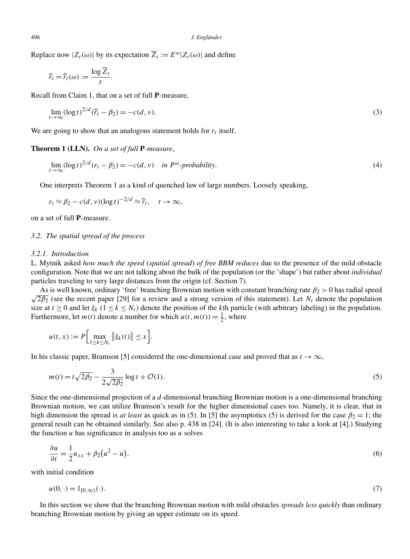Replace now  $|Z_t(\omega)|$  by its expectation  $\overline{Z}_t := E^{\omega} |Z_t(\omega)|$  and define<br>  $\widehat{r}_t = \widehat{r}_t(\omega) := \frac{\log \overline{Z}_t}{\sqrt{Z_t}}$ .

$$
\widehat{r}_t = \widehat{r}_t(\omega) := \frac{\log \overline{Z}_t}{t}.
$$

Recall from Claim 1, that on a set of full **P**-measure,

$$
t
$$
\nIf from Claim 1, that on a set of full **P**-measure,

\n
$$
\lim_{t \to \infty} (\log t)^{2/d} (\widehat{r}_t - \beta_2) = -c(d, v).
$$
\n(3)

We are going to show that an analogous statement holds for  $r_t$  itself.

**Theorem 1 (LLN).** *On a set of full* **P***-measure*,

$$
\lim_{t \to \infty} (\log t)^{2/d} (r_t - \beta_2) = -c(d, v) \quad \text{in } P^{\omega} \text{-}probability. \tag{4}
$$

One interprets Theorem 1 as a kind of quenched law of large numbers. Loosely speaking,

The interprets Theorem 1 as a kind of quenched  
\n
$$
r_t \approx \beta_2 - c(d, v) (\log t)^{-2/d} \approx \widehat{r}_t, \quad t \to \infty,
$$

on a set of full **P**-measure.

# *3.2. The spatial spread of the process*

#### *3.2.1. Introduction*

L. Mytnik asked *how much the speed* (*spatial spread*) *of free BBM reduces* due to the presence of the mild obstacle configuration. Note that we are not talking about the bulk of the population (or the 'shape') but rather about *individual* particles traveling to very large distances from the origin (cf. Section 7).

As is well known, ordinary 'free' branching Brownian motion with constant branching rate  $\beta_2 > 0$  has radial speed As is well known, ordinary thee branching Browman motion with constant branching rate  $p_2 > 0$  has radial speed  $\sqrt{2\beta_2}$  (see the recent paper [29] for a review and a strong version of this statement). Let  $N_t$  denote size at  $t \ge 0$  and let  $\xi_k$  ( $1 \le k \le N_t$ ) denote the position of the *k*th particle (with arbitrary labeling) in the population. Furthermore, let  $m(t)$  denote a number for which  $u(t, m(t)) = \frac{1}{2}$ , where  $k \leq N$ <br>  $k \leq N$ <br>  $\geq$  a null<br>  $\xi_k(t)$ 

$$
u(t, x) := P \Big[ \max_{1 \le k \le N_t} \| \xi_k(t) \| \le x \Big].
$$

In his classic paper, Bramson [5] considered the one-dimensional case and proved that as  $t \to \infty$ ,

$$
m(t) = t\sqrt{2\beta_2} - \frac{3}{2\sqrt{2\beta_2}}\log t + \mathcal{O}(1).
$$
 (5)

Since the one-dimensional projection of a *d*-dimensional branching Brownian motion is a one-dimensional branching Brownian motion, we can utilize Bramson's result for the higher dimensional cases too. Namely, it is clear, that in high dimension the spread is *at least* as quick as in (5). In [5] the asymptotics (5) is derived for the case  $\beta_2 = 1$ ; the general result can be obtained similarly. See also p. 438 in [24]. (It is also interesting to take a look at [4].) Studying the function *u* has significance in analysis too as *u* solves

$$
\frac{\partial u}{\partial t} = \frac{1}{2}u_{xx} + \beta_2(u^2 - u),\tag{6}
$$

with initial condition

$$
u(0, \cdot) = 1_{[0,\infty)}(\cdot). \tag{7}
$$

In this section we show that the branching Brownian motion with mild obstacles *spreads less quickly* than ordinary branching Brownian motion by giving an upper estimate on its speed.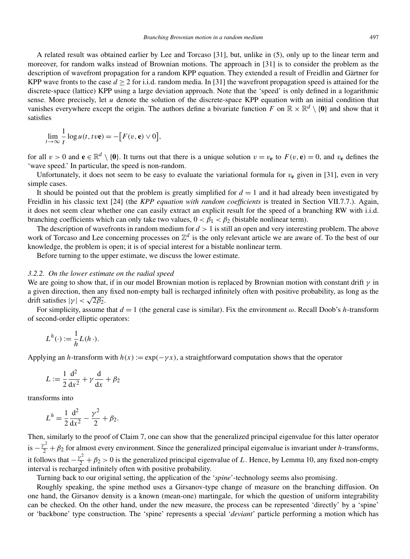A related result was obtained earlier by Lee and Torcaso [31], but, unlike in (5), only up to the linear term and moreover, for random walks instead of Brownian motions. The approach in [31] is to consider the problem as the description of wavefront propagation for a random KPP equation. They extended a result of Freidlin and Gärtner for KPP wave fronts to the case  $d > 2$  for i.i.d. random media. In [31] the wavefront propagation speed is attained for the discrete-space (lattice) KPP using a large deviation approach. Note that the 'speed' is only defined in a logarithmic sense. More precisely, let *u* denote the solution of the discrete-space KPP equation with an initial condition that vanishes everywhere except the origin. The authors define a bivariate function *F* on  $\mathbb{R} \times \mathbb{R}^d \setminus \{0\}$  and show that it satisfies<br>satisfies<br> $\lim_{t \to 0} \frac{1}{t} \log u(t, t v \mathbf{e}) = -[F(v, \mathbf{e}) \vee 0],$ satisfies

$$
\lim_{t \to \infty} \frac{1}{t} \log u(t, t v \mathbf{e}) = -[F(v, \mathbf{e}) \vee 0],
$$

for all  $v > 0$  and  $e \in \mathbb{R}^d \setminus \{0\}$ . It turns out that there is a unique solution  $v = v_e$  to  $F(v, e) = 0$ , and  $v_e$  defines the 'wave speed.' In particular, the speed is non-random.

Unfortunately, it does not seem to be easy to evaluate the variational formula for  $v_e$  given in [31], even in very simple cases.

It should be pointed out that the problem is greatly simplified for  $d = 1$  and it had already been investigated by Freidlin in his classic text [24] (the *KPP equation with random coefficients* is treated in Section VII.7.7.). Again, it does not seem clear whether one can easily extract an explicit result for the speed of a branching RW with i.i.d. branching coefficients which can only take two values,  $0 < \beta_1 < \beta_2$  (bistable nonlinear term).

The description of wavefronts in random medium for *d >* 1 is still an open and very interesting problem. The above work of Torcaso and Lee concerning processes on  $\mathbb{Z}^d$  is the only relevant article we are aware of. To the best of our knowledge, the problem is open; it is of special interest for a bistable nonlinear term.

Before turning to the upper estimate, we discuss the lower estimate.

#### *3.2.2. On the lower estimate on the radial speed*

We are going to show that, if in our model Brownian motion is replaced by Brownian motion with constant drift *γ* in a given direction, then any fixed non-empty ball is recharged infinitely often with positive probability, as long as the drift satisfies  $|\gamma| < \sqrt{2\beta_2}$ .

For simplicity, assume that  $d = 1$  (the general case is similar). Fix the environment  $\omega$ . Recall Doob's *h*-transform of second-order elliptic operators:

$$
L^h(\cdot) := \frac{1}{h}L(h\cdot).
$$

Applying an *h*-transform with  $h(x) := \exp(-\gamma x)$ , a straightforward computation shows that the operator

$$
L := \frac{1}{2} \frac{\mathrm{d}^2}{\mathrm{d}x^2} + \gamma \frac{\mathrm{d}}{\mathrm{d}x} + \beta_2
$$

transforms into

$$
L^h = \frac{1}{2} \frac{d^2}{dx^2} - \frac{\gamma^2}{2} + \beta_2.
$$

Then, similarly to the proof of Claim 7, one can show that the generalized principal eigenvalue for this latter operator is  $-\frac{y^2}{2} + \beta_2$  for almost every environment. Since the generalized principal eigenvalue is invariant under *h*-transforms, it follows that  $-\frac{y^2}{2} + \beta_2 > 0$  is the generalized principal eigenvalue of *L*. Hence, by Lemma 10, any fixed non-empty interval is recharged infinitely often with positive probability.

Turning back to our original setting, the application of the '*spine*'-technology seems also promising.

Roughly speaking, the spine method uses a Girsanov-type change of measure on the branching diffusion. On one hand, the Girsanov density is a known (mean-one) martingale, for which the question of uniform integrability can be checked. On the other hand, under the new measure, the process can be represented 'directly' by a 'spine' or 'backbone' type construction. The 'spine' represents a special '*deviant*' particle performing a motion which has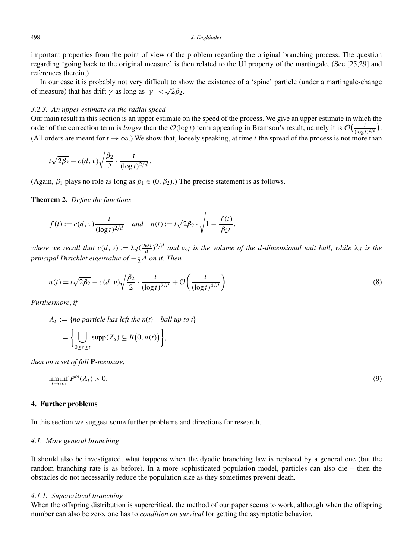important properties from the point of view of the problem regarding the original branching process. The question regarding 'going back to the original measure' is then related to the UI property of the martingale. (See [25,29] and references therein.)

In our case it is probably not very difficult to show the existence of a 'spine' particle (under a martingale-change of measure) that has drift  $\gamma$  as long as  $|\gamma| < \sqrt{2\beta_2}$ .

## *3.2.3. An upper estimate on the radial speed*

Our main result in this section is an upper estimate on the speed of the process. We give an upper estimate in which the 3.2.3. An upper estimate on the radial speed<br>Our main result in this section is an upper estimate on the speed of the process. We give an upper estimate in which the<br>order of the correction term is *larger* than the *O* (All orders are meant for  $t \to \infty$ .) We show that, loosely speaking, at time *t* the spread of the process is not more than

$$
t\sqrt{2\beta_2}-c(d,v)\sqrt{\frac{\beta_2}{2}}\cdot\frac{t}{(\log t)^{2/d}}.
$$

(Again,  $\beta_1$  plays no role as long as  $\beta_1 \in (0, \beta_2)$ .) The precise statement is as follows.

**Theorem 2.** *Define the functions*

$$
f(t) := c(d, v) \frac{t}{(\log t)^{2/d}}
$$
 and  $n(t) := t \sqrt{2\beta_2} \cdot \sqrt{1 - \frac{f(t)}{\beta_2 t}}$ ,

*principal Dirichlet eigenvalue of* −<sup>1</sup> <sup>2</sup>*Δ on it*. *Then*

where we recall that 
$$
c(d, v) := \lambda_d (\frac{v\omega_d}{d})^{2/d}
$$
 and  $\omega_d$  is the volume of the d-dimensional unit ball, while  $\lambda_d$  is the principal Dirichlet eigenvalue of  $-\frac{1}{2}\Delta$  on it. Then  
\n
$$
n(t) = t\sqrt{2\beta_2} - c(d, v)\sqrt{\frac{\beta_2}{2}} \cdot \frac{t}{(\log t)^{2/d}} + \mathcal{O}\left(\frac{t}{(\log t)^{4/d}}\right).
$$
\n(8)

*Furthermore*, *if*

$$
ext{remove, if}
$$
\n
$$
A_t := \{no \text{ particle has left the } n(t) - ball \text{ up to } t\}
$$
\n
$$
= \left\{ \bigcup_{0 \le s \le t} \text{supp}(Z_s) \subseteq B(0, n(t)) \right\},
$$

*then on a set of full* **P***-measure*,

$$
\liminf_{t \to \infty} P^{\omega}(A_t) > 0. \tag{9}
$$

## **4. Further problems**

In this section we suggest some further problems and directions for research.

### *4.1. More general branching*

It should also be investigated, what happens when the dyadic branching law is replaced by a general one (but the random branching rate is as before). In a more sophisticated population model, particles can also die – then the obstacles do not necessarily reduce the population size as they sometimes prevent death.

# *4.1.1. Supercritical branching*

When the offspring distribution is supercritical, the method of our paper seems to work, although when the offspring number can also be zero, one has to *condition on survival* for getting the asymptotic behavior.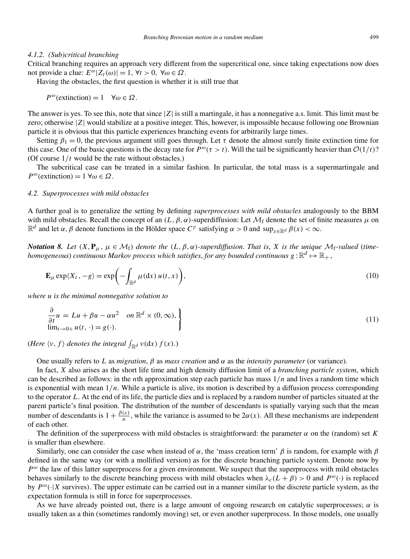#### *4.1.2. (Sub)critical branching*

Critical branching requires an approach very different from the supercritical one, since taking expectations now does not provide a clue:  $E^{\omega} |Z_t(\omega)| = 1$ ,  $\forall t > 0$ ,  $\forall \omega \in \Omega$ .

Having the obstacles, the first question is whether it is still true that

 $P^{\omega}$ (extinction) = 1  $\forall \omega \in \Omega$ .

The answer is yes. To see this, note that since |*Z*| is still a martingale, it has a nonnegative a.s. limit. This limit must be zero; otherwise |*Z*| would stabilize at a positive integer. This, however, is impossible because following one Brownian particle it is obvious that this particle experiences branching events for arbitrarily large times.

Setting  $\beta_1 = 0$ , the previous argument still goes through. Let  $\tau$  denote the almost surely finite extinction time for this case. One of the basic questions is the decay rate for  $P^{\omega}(\tau > t)$ . Will the tail be significantly heavier than  $O(1/t)$ ? (Of course 1*/t* would be the rate without obstacles.)

The subcritical case can be treated in a similar fashion. In particular, the total mass is a supermartingale and  $P^{\omega}$ (extinction) = 1  $\forall \omega \in \Omega$ .

# *4.2. Superprocesses with mild obstacles*

A further goal is to generalize the setting by defining *superprocesses with mild obstacles* analogously to the BBM with mild obstacles. Recall the concept of an  $(L, \beta, \alpha)$ -superdiffusion: Let  $\mathcal{M}_f$  denote the set of finite measures  $\mu$  on  $\mathbb{R}^d$  and let *α*, *β* denote functions in the Hölder space  $C^{\gamma}$  satisfying  $\alpha > 0$  and  $\sup_{x \in \mathbb{R}^d} \beta(x) < \infty$ .

*Notation 8. Let*  $(X, \mathbf{P}_\mu, \mu \in \mathcal{M}_f)$  *denote the*  $(L, \beta, \alpha)$ *-superdiffusion. That is, X is the unique*  $\mathcal{M}_f$ *-valued* (*timehomogeneous*) *continuous Markov process which satisfies, for any bounded continuous*  $g:\mathbb{R}^d\mapsto\mathbb{R}_+$  *,* **E**<sub>*k*</sub> **C E***z* **E**<sub>*k*</sub> *,*  $\mu \in M_f$ *) denote the (L, geneous) continuous Markov process which sa***<br>
<b>E**<sub> $\mu$ </sub> exp $\langle X_t, -g \rangle = \exp(-\int_{-\infty}^{\infty} \mu(\mathrm{d}x) u(t, x)$ 

$$
\mathbf{E}_{\mu} \exp\langle X_t, -g \rangle = \exp\biggl(-\int_{\mathbb{R}^d} \mu(\mathrm{d}x) \, u(t, x)\biggr),\tag{10}
$$

*where u is the minimal nonnegative solution to*

$$
\mathbf{E}_{\mu} \exp(\lambda_t, -g) = \exp\left(-\int_{\mathbb{R}^d} \mu(\mathbf{u}x) u(t, x)\right),
$$
  
\nwhere u is the minimal nonnegative solution to  
\n
$$
\frac{\partial}{\partial t} u = Lu + \beta u - \alpha u^2 \quad on \mathbb{R}^d \times (0, \infty),
$$
\n
$$
\lim_{t \to 0+} u(t, \cdot) = g(\cdot).
$$
\n(11)  
\n(*Here*  $\langle v, f \rangle$  denotes the integral  $\int_{\mathbb{R}^d} v(\mathbf{d}x) f(x).$ )

One usually refers to *L* as *migration*, *β* as *mass creation* and *α* as the *intensity parameter* (or variance).

In fact, *X* also arises as the short life time and high density diffusion limit of a *branching particle system*, which can be described as follows: in the *n*th approximation step each particle has mass 1*/n* and lives a random time which is exponential with mean  $1/n$ . While a particle is alive, its motion is described by a diffusion process corresponding to the operator *L*. At the end of its life, the particle dies and is replaced by a random number of particles situated at the parent particle's final position. The distribution of the number of descendants is spatially varying such that the mean number of descendants is  $1 + \frac{\beta(x)}{n}$ , while the variance is assumed to be  $2\alpha(x)$ . All these mechanisms are independent of each other.

The definition of the superprocess with mild obstacles is straightforward: the parameter  $\alpha$  on the (random) set *K* is smaller than elsewhere.

Similarly, one can consider the case when instead of *α*, the 'mass creation term' *β* is random, for example with *β* defined in the same way (or with a mollified version) as for the discrete branching particle system. Denote now by *P<sup>ω</sup>* the law of this latter superprocess for a given environment. We suspect that the superprocess with mild obstacles behaves similarly to the discrete branching process with mild obstacles when  $\lambda_c(L + \beta) > 0$  and  $P^{\omega}(\cdot)$  is replaced by  $P^{\omega}(\cdot|X)$  survives). The upper estimate can be carried out in a manner similar to the discrete particle system, as the expectation formula is still in force for superprocesses.

As we have already pointed out, there is a large amount of ongoing research on catalytic superprocesses; *α* is usually taken as a thin (sometimes randomly moving) set, or even another superprocess. In those models, one usually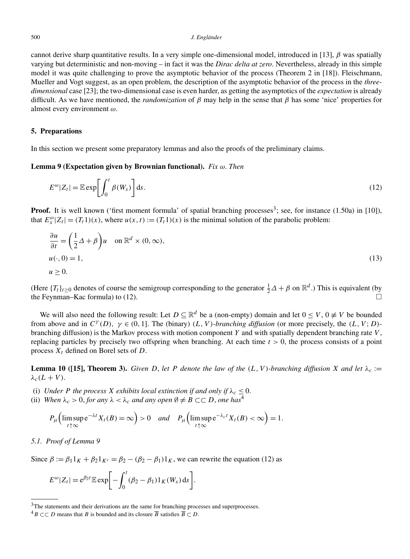cannot derive sharp quantitative results. In a very simple one-dimensional model, introduced in [13], *β* was spatially varying but deterministic and non-moving – in fact it was the *Dirac delta at zero*. Nevertheless, already in this simple model it was quite challenging to prove the asymptotic behavior of the process (Theorem 2 in [18]). Fleischmann, Mueller and Vogt suggest, as an open problem, the description of the asymptotic behavior of the process in the *threedimensional* case [23]; the two-dimensional case is even harder, as getting the asymptotics of the *expectation* is already difficult. As we have mentioned, the *randomization* of *β* may help in the sense that *β* has some 'nice' properties for almost every environment *ω*.

# **5. Preparations**

In this section we present some preparatory lemmas and also the proofs of the preliminary claims.

**Lemma 9 (Expectation given by Brownian functional).** *Fix ω*. *Then*

s section we present some preparatory lemmas and also the proofs of the preliminary claims.  
\n**na 9 (Expectation given by Brownian functional).** Fix 
$$
\omega
$$
. Then  
\n
$$
E^{\omega} |Z_t| = \mathbb{E} \exp \left[ \int_0^t \beta(W_s) \right] ds.
$$
\n(12)

**Proof.** It is well known ('first moment formula' of spatial branching processes<sup>3</sup>; see, for instance (1.50a) in [10]), that  $E_x^{\omega} | Z_t | = (T_t 1)(x)$ , where  $u(x, t) := (T_t 1)(x)$  is the minimal solution of the parabolic problem:

$$
\frac{\partial u}{\partial t} = \left(\frac{1}{2}\Delta + \beta\right)u \quad \text{on } \mathbb{R}^d \times (0, \infty),
$$
  
  $u(\cdot, 0) = 1,$   
  $u \ge 0.$  (13)

(Here  ${T_t}_{t\geq0}$  denotes of course the semigroup corresponding to the generator  $\frac{1}{2}\Delta + \beta$  on  $\mathbb{R}^d$ .) This is equivalent (by the Feynman–Kac formula) to (12).  $\Box$ 

We will also need the following result: Let  $D \subseteq \mathbb{R}^d$  be a (non-empty) domain and let  $0 \le V$ ,  $0 \neq V$  be bounded from above and in  $C^{\gamma}(D)$ ,  $\gamma \in (0,1]$ . The (binary)  $(L, V)$ *-branching diffusion* (or more precisely, the  $(L, V; D)$ branching diffusion) is the Markov process with motion component *Y* and with spatially dependent branching rate *V* , replacing particles by precisely two offspring when branching. At each time *t >* 0, the process consists of a point process  $X_t$  defined on Borel sets of  $D$ .

**Lemma 10 ([15], Theorem 3).** *Given D*, *let P denote the law of the*  $(L, V)$ *-branching diffusion X* and let  $\lambda_c$  :=  $\lambda_c(L+V)$ .

- (i) *Under P the process X exhibits local extinction if and only if*  $\lambda_c \leq 0$ .
- (ii) *When*  $\lambda_c > 0$ , for any  $\lambda < \lambda_c$  and any open  $\emptyset \neq B \subset\subset D$ , one has<sup>4</sup>

Under P the process X exhibits local extinction if and only if 
$$
\lambda_c \leq 0
$$
.

\nWhen  $\lambda_c > 0$ , for any  $\lambda < \lambda_c$  and any open  $\emptyset \neq B \subset\subset D$ , one has<sup>4</sup>

\n
$$
P_{\mu} \Big( \limsup_{t \uparrow \infty} e^{-\lambda t} X_t(B) = \infty \Big) > 0 \quad \text{and} \quad P_{\mu} \Big( \limsup_{t \uparrow \infty} e^{-\lambda_c t} X_t(B) < \infty \Big) = 1.
$$

# *5.1. Proof of Lemma 9*

Since  $β := β_1 1_K + β_2 1_{K^c} = β_2 - (β_2 - β_1) 1_K$ , we can rewrite the equation (12) as

Proof of Lemma 9  
\n
$$
\beta := \beta_1 1_K + \beta_2 1_{K^c} = \beta_2 - (\beta_2 - \beta_1) 1_K, \text{ we can}
$$
\n
$$
E^{\omega} |Z_t| = e^{\beta_2 t} \mathbb{E} \exp\left[-\int_0^t (\beta_2 - \beta_1) 1_K(W_s) \, ds\right].
$$

<sup>&</sup>lt;sup>3</sup>The statements and their derivations are the same for branching processes and superprocesses.

<sup>&</sup>lt;sup>4</sup>B ⊂ ⊂ *D* means that *B* is bounded and its closure  $\overline{B}$  satisfies  $\overline{B}$  ⊂ *D*.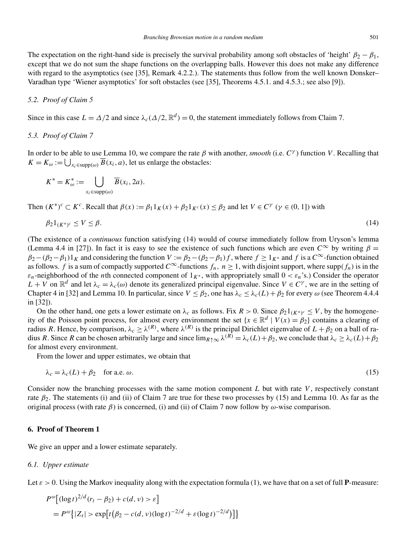The expectation on the right-hand side is precisely the survival probability among soft obstacles of 'height'  $\beta_2 - \beta_1$ , except that we do not sum the shape functions on the overlapping balls. However this does not make any difference with regard to the asymptotics (see [35], Remark 4.2.2.). The statements thus follow from the well known Donsker– Varadhan type 'Wiener asymptotics' for soft obstacles (see [35], Theorems 4.5.1. and 4.5.3.; see also [9]).

# *5.2. Proof of Claim 5*

Since in this case  $L = \Delta/2$  and since  $\lambda_c(\Delta/2, \mathbb{R}^d) = 0$ , the statement immediately follows from Claim 7.

# *5.3. Proof of Claim 7*

In order to be able to use Lemma 10, we compare the rate *β* with another, *smooth* (i.e. *C<sup>γ</sup>* ) function *V* . Recalling that *F.3. Proof of Claim 7*<br> *K* = *K<sub>ω</sub>* :=  $\bigcup_{x_i \in \text{supp}(\omega)} \overline{B}(x_i, a)$ , let us enlarge the obstacles: able to use<br> $\bigcup_{x_i \in \text{supp}(\omega)} \overline{B}$ <br> $\stackrel{*}{\omega} := \bigcup$ 

$$
K^* = K^*_{\omega} := \bigcup_{x_i \in \text{supp}(\omega)} \overline{B}(x_i, 2a).
$$

Then  $(K^*)^c \subset K^c$ . Recall that  $\beta(x) := \beta_1 1_K(x) + \beta_2 1_{K^c}(x) \le \beta_2$  and let  $V \in C^\gamma$   $(\gamma \in (0, 1])$  with

$$
\beta_2 1_{(K^*)^c} \le V \le \beta. \tag{14}
$$

(The existence of a *continuous* function satisfying (14) would of course immediately follow from Uryson's lemma (Lemma 4.4 in [27]). In fact it is easy to see the existence of such functions which are even  $C^{\infty}$  by writing  $\beta =$  $\beta_2 - (\beta_2 - \beta_1)1_K$  and considering the function  $V := \beta_2 - (\beta_2 - \beta_1) f$ , where  $f \ge 1_K^*$  and *f* is a  $C^\infty$ -function obtained as follows. *f* is a sum of compactly supported  $C^{\infty}$ -functions  $f_n$ ,  $n \ge 1$ , with disjoint support, where supp $(f_n)$  is in the  $\varepsilon_n$ -neighborhood of the *n*th connected component of  $1_{K^*}$ , with appropriately small  $0 < \varepsilon_n$ 's.) Consider the operator  $L + V$  on  $\mathbb{R}^d$  and let  $\lambda_c = \lambda_c(\omega)$  denote its generalized principal eigenvalue. Since  $V \in C^\gamma$ , we are in the setting of Chapter 4 in [32] and Lemma 10. In particular, since  $V \leq \beta_2$ , one has  $\lambda_c \leq \lambda_c(L) + \beta_2$  for every  $\omega$  (see Theorem 4.4.4) in [32]).

On the other hand, one gets a lower estimate on  $\lambda_c$  as follows. Fix  $R > 0$ . Since  $\beta_2 1_{(K^*)^c} \leq V$ , by the homogeneity of the Poisson point process, for almost every environment the set  $\{x \in \mathbb{R}^d \mid V(x) = \beta_2\}$  contains a clearing of radius *R*. Hence, by comparison,  $\lambda_c \ge \lambda^{(R)}$ , where  $\lambda^{(R)}$  is the principal Dirichlet eigenvalue of  $L + \beta_2$  on a ball of radius *R*. Since *R* can be chosen arbitrarily large and since  $\lim_{R \uparrow \infty} \lambda^{(R)} = \lambda_c(L) + \beta_2$ , we conclude that  $\lambda_c \ge \lambda_c(L) + \beta_2$ for almost every environment.

From the lower and upper estimates, we obtain that

$$
\lambda_c = \lambda_c(L) + \beta_2 \quad \text{for a.e. } \omega.
$$
\n
$$
(15)
$$

Consider now the branching processes with the same motion component *L* but with rate *V* , respectively constant rate *β*2. The statements (i) and (ii) of Claim 7 are true for these two processes by (15) and Lemma 10. As far as the original process (with rate *β*) is concerned, (i) and (ii) of Claim 7 now follow by *ω*-wise comparison.

# **6. Proof of Theorem 1**

We give an upper and a lower estimate separately.

#### *6.1. Upper estimate*

Let *ε >* 0*.* Using the Markov inequality along with the expectation formula (1), we have that on a set of full **P**-measure:

*Upper estimate*  
> 0. Using the Markov inequality along with the expectation form  

$$
P^{\omega}[(\log t)^{2/d} (r_t - \beta_2) + c(d, v) > \varepsilon]
$$

$$
= P^{\omega}\{|Z_t| > \exp[t(\beta_2 - c(d, v)(\log t)^{-2/d} + \varepsilon(\log t)^{-2/d})]\}
$$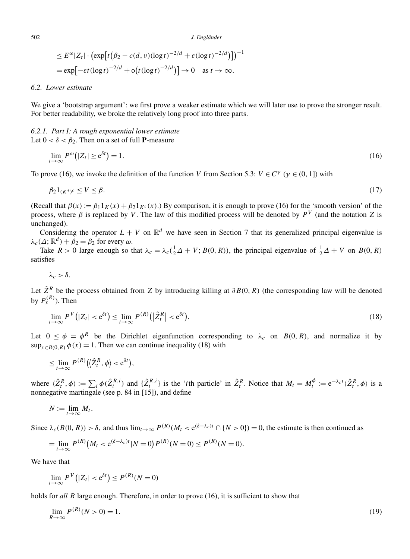$$
J. \text{ Englander}
$$
\n
$$
\leq E^{\omega} |Z_t| \cdot \left( \exp\left[t\left(\beta_2 - c(d, v)(\log t)^{-2/d} + \varepsilon(\log t)^{-2/d}\right)\right] \right)^{-1}
$$
\n
$$
= \exp\left[-\varepsilon t (\log t)^{-2/d} + o\left(t (\log t)^{-2/d}\right)\right] \to 0 \quad \text{as } t \to \infty.
$$

# *6.2. Lower estimate*

We give a 'bootstrap argument': we first prove a weaker estimate which we will later use to prove the stronger result. For better readability, we broke the relatively long proof into three parts.

# *6.2.1. Part I: A rough exponential lower estimate* Let  $0 < \delta < \beta_2$ . Then on a set of full **P**-measure *Part I: A rough exp*<br>  $< \delta < \beta_2$ . Then on a<br>  $\lim_{t \to \infty} P^{\omega} (|Z_t| \ge e^{\delta t})$

$$
\lim_{t \to \infty} P^{\omega} (|Z_t| \ge e^{\delta t}) = 1. \tag{16}
$$

To prove (16), we invoke the definition of the function *V* from Section 5.3:  $V \in C^{\gamma}$  ( $\gamma \in (0, 1]$ ) with

$$
\beta_2 1_{(K^*)^c} \le V \le \beta. \tag{17}
$$

(Recall that  $\beta(x) := \beta_1 1_K(x) + \beta_2 1_{K^c}(x)$ .) By comparison, it is enough to prove (16) for the 'smooth version' of the process, where *β* is replaced by *V*. The law of this modified process will be denoted by  $P<sup>V</sup>$  (and the notation *Z* is unchanged).

Considering the operator  $L + V$  on  $\mathbb{R}^d$  we have seen in Section 7 that its generalized principal eigenvalue is  $\lambda_c(\Delta; \mathbb{R}^d) + \beta_2 = \beta_2$  for every  $\omega$ .

Take  $R > 0$  large enough so that  $\lambda_c = \lambda_c(\frac{1}{2}\Delta + V; B(0, R))$ , the principal eigenvalue of  $\frac{1}{2}\Delta + V$  on  $B(0, R)$ satisfies

$$
\lambda_c > \delta.
$$

Let  $\hat{Z}^R$  be the process obtained from Z by introducing killing at  $\partial B(0, R)$  (the corresponding law will be denoted<br>by  $P_x^{(R)}$ ). Then<br> $\lim_{t \to \infty} P^V(|Z_t| < e^{\delta t}) \le \lim_{t \to \infty} P^{(R)}(|\hat{Z}_t^R| < e^{\delta t})$ . (18) by  $P_{\text{x}}^{(R)}$ ). Then *k* be the  $\binom{R}{k}$ . Then<br>*lime*  $P^V(\begin{bmatrix} p & p \\ p & q \end{bmatrix})$ 

$$
\lim_{t \to \infty} P^V(|Z_t| < e^{\delta t}) \le \lim_{t \to \infty} P^{(R)}(|\hat{Z}_t^R| < e^{\delta t}).\tag{18}
$$

Let  $0 \le \phi = \phi^R$  be the Dirichlet eigenfunction corresponding to  $\lambda_c$  on  $B(0, R)$ , and normalize it by  $\sup_{x \in B(0, R)} \phi(x) = 1$ . Then we can continue inequality (18) with<br>  $\le \lim_{t \to \infty} P^{(R)}(\langle \hat{Z}_t^R, \phi \rangle < e^{\delta t}),$  $\sup_{x \in B(0,R)} \phi(x) = 1$ . Then we can continue inequality (18) with

$$
\leq \lim_{t\to\infty} P^{(R)}\big(\big|\hat{Z}_t^R,\phi\big|<\mathrm{e}^{\delta t}\big),
$$

 $\leq \lim_{t\to\infty} P^{(R)}(\langle \hat{Z}_t^R, \phi \rangle < e^{\delta t}),$ <br>
where  $\langle \hat{Z}_t^R, \phi \rangle := \sum_i \phi(\hat{Z}_t^{R,i})$  and  $\{\hat{Z}_t^{R,i}\}\$  is the '*i*th particle' in  $\hat{Z}_t^R$ . Notice that  $M_t = M_t^{\phi} := e^{-\lambda_c t} \langle \hat{Z}_t^R, \phi \rangle$  is a nonnegative martingale (see p. 84 in [15]), and define

$$
N:=\lim_{t\to\infty}M_t.
$$

Since  $\lambda_c(B(0, R)) > \delta$ , and thus  $\lim_{t\to\infty} P^{(R)}(M_t < e^{(\delta - \lambda_c)t} \cap \{N > 0\}) = 0$ , the estimate is then continued as

$$
N := \lim_{t \to \infty} M_t.
$$
  
\n
$$
\lambda_c(B(0, R)) > \delta, \text{ and thus } \lim_{t \to \infty} P^{(R)}(M_t < e^{(\delta - \lambda_c)t} \cap \{N > 0\})
$$
  
\n
$$
= \lim_{t \to \infty} P^{(R)}(M_t < e^{(\delta - \lambda_c)t} | N = 0) P^{(R)}(N = 0) \le P^{(R)}(N = 0).
$$
  
\nwe that  
\n
$$
\lim_{t \to \infty} P^{V}(|Z_t| < e^{\delta t}) \le P^{(R)}(N = 0)
$$

We have that

$$
= \lim_{t \to \infty} P^{(K)}\big(M_t < e^{(\delta - \lambda_c)t} | N = 0\big)P
$$
\nwe that

\n
$$
\lim_{t \to \infty} P^V\big(|Z_t| < e^{\delta t}\big) \le P^{(R)}(N = 0)
$$

holds for *all R* large enough. Therefore, in order to prove (16), it is sufficient to show that

$$
\lim_{R \to \infty} P^{(R)}(N > 0) = 1. \tag{19}
$$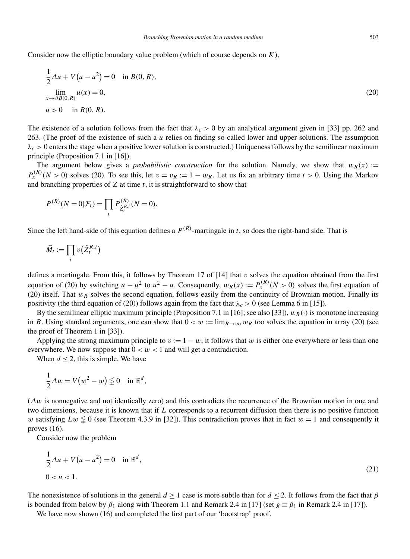Consider now the elliptic boundary value problem (which of course depends on *K*),

der now the elliptic boundary value problem (which of course depends on K),  
\n
$$
\frac{1}{2}\Delta u + V(u - u^2) = 0
$$
 in  $B(0, R)$ ,  
\n
$$
\lim_{x \to \partial B(0, R)} u(x) = 0,
$$
\n
$$
(20)
$$
  
\n
$$
u > 0
$$
 in  $B(0, R)$ .

The existence of a solution follows from the fact that  $\lambda_c > 0$  by an analytical argument given in [33] pp. 262 and 263. (The proof of the existence of such a *u* relies on finding so-called lower and upper solutions. The assumption *λc >* 0 enters the stage when a positive lower solution is constructed.) Uniqueness follows by the semilinear maximum principle (Proposition 7.1 in [16]).

The argument below gives a *probabilistic construction* for the solution. Namely, we show that  $w_R(x)$  := *P*<sub>*x*</sub><sup>(*R*)</sup>(*N* > 0) solves (20). To see this, let *v* = *v<sub>R</sub>* := 1 − *w<sub>R</sub>*. Let us fix an arbitrary time *t* > 0. Using the Markov and branching properties of *Z* at time *t*, it is straightforward to show that<br>  $P$ and branching properties of *Z* at time *t*, it is straightforward to show that

$$
P^{(R)}(N=0|\mathcal{F}_t) = \prod_i P^{(R)}_{\hat{Z}_t^{R,i}}(N=0).
$$

Since the left hand-side of this equation defines a *P(R)*-martingale in *t*, so does the right-hand side. That is

the left hand-side  

$$
\widetilde{M}_t := \prod_i v(\hat{Z}_t^{R,i})
$$

defines a martingale. From this, it follows by Theorem 17 of [14] that *v* solves the equation obtained from the first equation of (20) by switching  $u - u^2$  to  $u^2 - u$ . Consequently,  $w_R(x) := P_{x}^{(R)}(N > 0)$  solves the first equation of (20) itself. That  $w_R$  solves the second equation, follows easily from the continuity of Brownian motion. Finally its positivity (the third equation of (20)) follows again from the fact that  $\lambda_c > 0$  (see Lemma 6 in [15]).

By the semilinear elliptic maximum principle (Proposition 7.1 in [16]; see also [33]),  $w_R(\cdot)$  is monotone increasing in *R*. Using standard arguments, one can show that  $0 < w := \lim_{R \to \infty} w_R$  too solves the equation in array (20) (see the proof of Theorem 1 in [33]).

Applying the strong maximum principle to  $v := 1 - w$ , it follows that *w* is either one everywhere or less than one everywhere. We now suppose that  $0 < w < 1$  and will get a contradiction.

When  $d \leq 2$ , this is simple. We have

$$
\frac{1}{2}\Delta w = V(w^2 - w) \leq 0 \quad \text{in } \mathbb{R}^d,
$$

(*Δw* is nonnegative and not identically zero) and this contradicts the recurrence of the Brownian motion in one and two dimensions, because it is known that if *L* corresponds to a recurrent diffusion then there is no positive function w satisfying  $Lw \leq 0$  (see Theorem 4.3.9 in [32]). This contradiction proves that in fact  $w = 1$  and consequently it proves (16).

Consider now the problem

$$
x = (16).
$$
  
inside now the problem  

$$
\frac{1}{2}\Delta u + V(u - u^2) = 0 \quad \text{in } \mathbb{R}^d,
$$

$$
0 < u < 1.
$$
 (21)

The nonexistence of solutions in the general  $d \ge 1$  case is more subtle than for  $d \le 2$ . It follows from the fact that  $\beta$ is bounded from below by  $\beta_1$  along with Theorem 1.1 and Remark 2.4 in [17] (set  $g \equiv \beta_1$  in Remark 2.4 in [17]).

We have now shown (16) and completed the first part of our 'bootstrap' proof.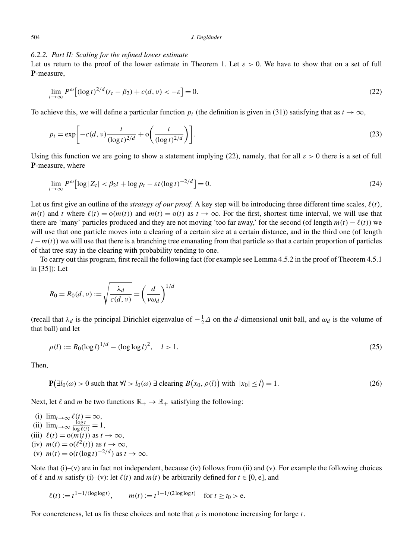# *6.2.2. Part II: Scaling for the refined lower estimate*

Let us return to the proof of the lower estimate in Theorem 1. Let  $\varepsilon > 0$ . We have to show that on a set of full **P**-measure, *t*<br>*t* is return to<br>asure,<br> $\lim_{t\to\infty} P^{\omega}$ 

$$
\lim_{t \to \infty} P^{\omega} \left[ (\log t)^{2/d} (r_t - \beta_2) + c(d, \nu) < -\varepsilon \right] = 0. \tag{22}
$$

To achieve this, we will define a particular function  $p_t$  (the definition is given in (31)) satisfying that as  $t \to \infty$ ,

$$
\lim_{t \to \infty} \int \left[ (\log t)^{-\alpha} (t + \log t)^{-\alpha} (t + \log t)^{-\alpha} \right] dx
$$
\nwhere this, we will define a particular function  $p_t$  (the definition is given in (31)) satisfying that as  $t \to \infty$ ,

\n
$$
p_t = \exp \left[ -c(d, v) \frac{t}{(\log t)^{2/d}} + o\left(\frac{t}{(\log t)^{2/d}}\right) \right].
$$
\n(23)

Using this function we are going to show a statement implying (22), namely, that for all  $\varepsilon > 0$  there is a set of full **P**-measure, where *this function we are going to show a statement<br><i>t*sure, where<br> $\lim_{t \to \infty} P^{\omega} [\log |Z_t| < \beta_2 t + \log p_t - \varepsilon t (\log t)^{-2/d}]$ 

$$
\lim_{t \to \infty} P^{\omega} \left[ \log |Z_t| < \beta_2 t + \log p_t - \varepsilon t (\log t)^{-2/d} \right] = 0. \tag{24}
$$

Let us first give an outline of the *strategy of our proof*. A key step will be introducing three different time scales,  $\ell(t)$ , *m(t)* and *t* where  $\ell(t) = o(m(t))$  and  $m(t) = o(t)$  as  $t \to \infty$ . For the first, shortest time interval, we will use that there are 'many' particles produced and they are not moving 'too far away,' for the second (of length  $m(t) - \ell(t)$ ) we will use that one particle moves into a clearing of a certain size at a certain distance, and in the third one (of length  $t - m(t)$ ) we will use that there is a branching tree emanating from that particle so that a certain proportion of particles of that tree stay in the clearing with probability tending to one.

To carry out this program, first recall the following fact (for example see Lemma 4.5.2 in the proof of Theorem 4.5.1 in [35]): Let

It is easy in the clearing with probability to carry out this program, first recall the follow  
(i)): Let  

$$
R_0 = R_0(d, v) := \sqrt{\frac{\lambda_d}{c(d, v)}} = \left(\frac{d}{v \omega_d}\right)^{1/d}
$$

(recall that  $\lambda_d$  is the principal Dirichlet eigenvalue of  $-\frac{1}{2}\Delta$  on the *d*-dimensional unit ball, and  $\omega_d$  is the volume of that ball) and let

$$
\rho(l) := R_0(\log l)^{1/d} - (\log \log l)^2, \quad l > 1.
$$
\n(25)

Then,

$$
\rho(t) := \kappa_0(\log t)^{-\alpha} - (\log \log t), \quad t > 1.
$$
\n
$$
\text{P}\left(\exists l_0(\omega) > 0 \text{ such that } \forall l > l_0(\omega) \exists \text{ clearing } B\left(x_0, \rho(l)\right) \text{ with } |x_0| \le l\right) = 1. \tag{26}
$$

Next, let  $\ell$  and *m* be two functions  $\mathbb{R}_+ \to \mathbb{R}_+$  satisfying the following:

(i) 
$$
\lim_{t \to \infty} \ell(t) = \infty
$$
,  
\n(ii)  $\lim_{t \to \infty} \frac{\log t}{\log \ell(t)} = 1$ ,  
\n(iii)  $\ell(t) = o(m(t))$  as  $t \to \infty$ ,  
\n(iv)  $m(t) = o(\ell^2(t))$  as  $t \to \infty$ ,  
\n(v)  $m(t) = o(t(\log t)^{-2/d})$  as  $t \to \infty$ .

Note that  $(i)$ – $(v)$  are in fact not independent, because  $(iv)$  follows from  $(ii)$  and  $(v)$ . For example the following choices of  $\ell$  and *m* satisfy (i)–(v): let  $\ell(t)$  and  $m(t)$  be arbitrarily defined for  $t \in [0, e]$ , and

$$
\ell(t) := t^{1-1/(\log \log t)}, \qquad m(t) := t^{1-1/(2\log \log t)} \quad \text{for } t \ge t_0 > \text{e}.
$$

For concreteness, let us fix these choices and note that  $\rho$  is monotone increasing for large  $t$ .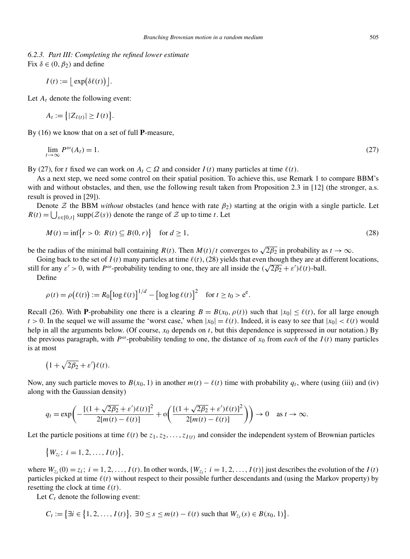*6.2.3. Part III: Completing the refined lower estimate* Fix  $\delta \in (0, \beta_2)$  and define *Part III: Com*<br>∈ (0,  $\beta_2$ ) and c<br>*I*(*t*) :=  $\vert$  exp( *bpleting*<br>define<br>*δ*ε(*t*)) | .

$$
I(t) := |\exp(\delta \ell(t))|
$$

Let  $A_t$  denote the following event:

$$
I(t) := \lfloor \exp(\delta \ell(t)) \rfloor.
$$
  
*t* denote the following  

$$
A_t := \{|Z_{\ell(t)}| \ge I(t)\}.
$$

By (16) we know that on a set of full **P**-measure,

$$
\lim_{t \to \infty} P^{\omega}(A_t) = 1. \tag{27}
$$

By (27), for *t* fixed we can work on  $A_t \subset \Omega$  and consider  $I(t)$  many particles at time  $\ell(t)$ .

As a next step, we need some control on their spatial position. To achieve this, use Remark 1 to compare BBM's with and without obstacles, and then, use the following result taken from Proposition 2.3 in [12] (the stronger, a.s. result is proved in [29]). *R(t)* =  $\bigcup_{s \in [0,t]}$  supprecises, and then, use the following result take result is proved in [29]).<br>
Denote  $Z$  the BBM *without* obstacles (and hence with rate  $\beta_2$ .  $R(t) = \bigcup_{s \in [0,t]}$  supp $(Z(s))$  denote the range of

Denote  $\mathcal Z$  the BBM *without* obstacles (and hence with rate  $\beta_2$ ) starting at the origin with a single particle. Let *IS* proved in<br>
note  $\mathcal{Z}$  the  $\Box$ <br>  $\Box$ <br>  $\Box$ <br>  $M(t) = \inf \{$ *r*  $[29]$ .<br>*RBM without* obstacles (and hence with rate  $\beta_2$ ) starting at the origin with a single particle. Let  $\text{upp}(\mathcal{Z}(s))$  denote the range of  $\mathcal Z$  up to time *t*. Let  $r > 0$ :  $R(t) \subseteq B(0, r)$  for  $d \ge 1$ , (28)

$$
M(t) = \inf\{r > 0: \ R(t) \subseteq B(0, r)\} \quad \text{for } d \ge 1,\tag{28}
$$

be the radius of the minimal ball containing  $R(t)$ . Then  $M(t)/t$  converges to  $\sqrt{2\beta_2}$  in probability as  $t \to \infty$ .

Going back to the set of  $I(t)$  many particles at time  $\ell(t)$ , (28) yields that even though they are at different locations, Still for any  $ε' > 0$ , with  $P^ω$ -probability tending to one, they are all inside the  $(√2β<sub>2</sub> + ε')(t)$ -ball. *(t)*, (28) yields that  $\ell(t)$ , (28) yields that  $\ell(t)$ , (28) yields that  $\ell(t)$ , (28) one, they are all inside  $\ell(t)$  =  $R_0 \left[ \log \ell(t) \right]^{1/d} - \left[ \log \log \ell(t) \right]^2$  for *t* ≥ *t*<sub>0</sub> > e<sup>e</sup>

Define

$$
\rho(t) = \rho\big(\ell(t)\big) := R_0\big[\log \ell(t)\big]^{1/d} - \big[\log \log \ell(t)\big]^2 \quad \text{for } t \ge t_0 > e^e.
$$

Recall (26). With **P**-probability one there is a clearing  $B = B(x_0, \rho(t))$  such that  $|x_0| \leq \ell(t)$ , for all large enough  $t > 0$ . In the sequel we will assume the 'worst case,' when  $|x_0| = \ell(t)$ . Indeed, it is easy to see that  $|x_0| < \ell(t)$  would help in all the arguments below. (Of course, *x*<sup>0</sup> depends on *t*, but this dependence is suppressed in our notation.) By the previous paragraph, with  $P^{\omega}$ -probability tending to one, the distance of  $x_0$  from *each* of the  $I(t)$  many particles is at most all the<br>vious<br>ost<br> $1 + \sqrt{ }$ 

$$
(1+\sqrt{2\beta_2}+\varepsilon')\ell(t).
$$

Now, any such particle moves to  $B(x_0, 1)$  in another  $m(t) - \ell(t)$  time with probability  $q_t$ , where (using (iii) and (iv) along with the Gaussian density) any such particle moves to  $B(x_0, 1)$  in another  $m(t) - \ell(t)$  time with<br>with the Gaussian density)<br> $q_t = \exp\left(-\frac{[(1 + \sqrt{2\beta_2} + \varepsilon')\ell(t)]^2}{2\text{Im}(\ell) \cdot \ell(t)]^2} + o\left(\frac{[(1 + \sqrt{2\beta_2} + \varepsilon')\ell(t)]^2}{2\text{Im}(\ell) \cdot \ell(t)]^2}\right)\right)$ 

$$
q_t = \exp\left(-\frac{[(1+\sqrt{2\beta_2}+\varepsilon')\ell(t)]^2}{2[m(t)-\ell(t)]} + o\left(\frac{[(1+\sqrt{2\beta_2}+\varepsilon')\ell(t)]^2}{2[m(t)-\ell(t)]}\right)\right) \to 0 \quad \text{as } t \to \infty.
$$
  
ne particle positions at time  $\ell(t)$  be  $z_1, z_2, ..., z_{I(t)}$  and consider the independent system  $\{W_{z_i}; i = 1, 2, ..., I(t)\},$ 

Let the particle positions at time  $\ell(t)$  be  $z_1, z_2, \ldots, z_{I(t)}$  and consider the independent system of Brownian particles

$$
\{W_{z_i};\ i=1,2,\ldots,I(t)\},\
$$

where  $W_{z_i}(0) = z_i$ ;  $i = 1, 2, \ldots, I(t)$ . In other words,  $\{W_{z_i}; i = 1, 2, \ldots, I(t)\}$  just describes the evolution of the  $I(t)$ particles picked at time  $\ell(t)$  without respect to their possible further descendants and (using the Markov property) by resetting the clock at time  $\ell(t)$ . les picked at t<br> *n*g the clock a<br> *C<sub>t</sub>* := {∃*i* ∈ {  $\text{int } \ell(t) \text{ with } t \text{ time } \ell(t).$ <br> **e** following even <br>  $\{1, 2, \ldots, I(t)\}$ 

Let  $C_t$  denote the following event:

$$
C_t := \big\{ \exists i \in \big\{ 1, 2, \ldots, I(t) \big\}, \ \exists 0 \le s \le m(t) - \ell(t) \text{ such that } W_{z_i}(s) \in B(x_0, 1) \big\}.
$$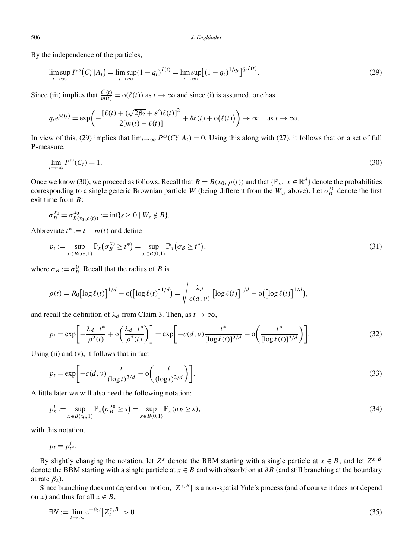By the independence of the particles,

*J. Englander*  
e independence of the particles,  

$$
\limsup_{t \to \infty} P^{\omega} (C_t^c | A_t) = \limsup_{t \to \infty} (1 - q_t)^{I(t)} = \limsup_{t \to \infty} [(1 - q_t)^{1/q_t}]^{q_t I(t)}.
$$
(29)

Since (iii) implies that  $\frac{\ell^2(t)}{m(t)} = o(\ell(t))$  as  $t \to \infty$  and since (i) is assumed, one has

(iii) implies that 
$$
\frac{\ell^2(t)}{m(t)} = o(\ell(t))
$$
 as  $t \to \infty$  and since (i) is assumed, one has  
\n
$$
q_t e^{\delta \ell(t)} = \exp\left(-\frac{[\ell(t) + (\sqrt{2\beta_2} + \varepsilon')\ell(t)]^2}{2[m(t) - \ell(t)]} + \delta \ell(t) + o(\ell(t))\right) \to \infty \text{ as } t \to \infty.
$$

In view of this, (29) implies that  $\lim_{t\to\infty} P^{\omega}(C_t^c|A_t) = 0$ . Using this along with (27), it follows that on a set of full **P**-measure,

$$
\lim_{t \to \infty} P^{\omega}(C_t) = 1. \tag{30}
$$

Once we know (30), we proceed as follows. Recall that  $B = B(x_0, \rho(t))$  and that  $\{\mathbb{P}_x; x \in \mathbb{R}^d\}$  denote the probabilities corresponding to a single generic Brownian particle *W* (being different from the  $W_{z_i}$  above). Let  $\sigma_B^{x_0}$  denote the first exit time from *B*:

$$
\sigma_B^{x_0} = \sigma_{B(x_0, \rho(t))}^{x_0} := \inf\{s \ge 0 \mid W_s \notin B\}.
$$
  
evaluate  $t^* := t - m(t)$  and define

Abbreviate  $t^* := t - m(t)$  and define

$$
\sigma_B^{x_0} = \sigma_{B(x_0, \rho(t))}^{x_0} := \inf\{s \ge 0 \mid W_s \notin B\}.
$$
  
evaluate  $t^* := t - m(t)$  and define  

$$
p_t := \sup_{x \in B(x_0, 1)} \mathbb{P}_x(\sigma_B^{x_0} \ge t^*) = \sup_{x \in B(0, 1)} \mathbb{P}_x(\sigma_B \ge t^*),
$$
 (31)

where  $\sigma_B := \sigma_B^0$ . Recall that the radius of *B* is

e 
$$
\sigma_B := \sigma_B^0
$$
. Recall that the radius of *B* is  
\n
$$
\rho(t) = R_0 \left[ \log \ell(t) \right]^{1/d} - o \left( \left[ \log \ell(t) \right]^{1/d} \right) = \sqrt{\frac{\lambda_d}{c(d, v)}} \left[ \log \ell(t) \right]^{1/d} - o \left( \left[ \log \ell(t) \right]^{1/d} \right),
$$

and recall the definition of  $\lambda_d$  from Claim 3. Then, as  $t \to \infty$ ,

$$
\rho(t) = K_0[\log \ell(t)] - o([\log \ell(t)]) = \sqrt{\frac{c(d, v)}{c(d, v)} [\log \ell(t)]} - o([\log \ell(t)])
$$
\nrecall the definition of  $\lambda_d$  from Claim 3. Then, as  $t \to \infty$ ,

\n
$$
p_t = \exp\left[-\frac{\lambda_d \cdot t^*}{\rho^2(t)} + o\left(\frac{\lambda_d \cdot t^*}{\rho^2(t)}\right)\right] = \exp\left[-c(d, v)\frac{t^*}{[\log \ell(t)]^{2/d}} + o\left(\frac{t^*}{[\log \ell(t)]^{2/d}}\right)\right].
$$
\n(32)

\n(ii) and (v), it follows that in fact

\n
$$
p_t = \exp\left[-c(d, v)\frac{t}{(\log t)^{2/d}} + o\left(\frac{t}{(\log t)^{2/d}}\right)\right].
$$

Using (ii) and (v), it follows that in fact

$$
p_t = \exp\left[-\frac{1}{\rho^2(t)} + \mathcal{O}\left(\frac{1}{\rho^2(t)}\right)\right] = \exp\left[-c(d, v)\frac{\log \ell(t)}{[\log \ell(t)]^{2/d}} + \mathcal{O}\left(\frac{1}{[\log \ell(t)]^{2/d}}\right)\right].
$$
\n(32)  
\n5. (ii) and (v), it follows that in fact\n
$$
p_t = \exp\left[-c(d, v)\frac{t}{(\log t)^{2/d}} + \mathcal{O}\left(\frac{t}{(\log t)^{2/d}}\right)\right].
$$
\n(33)

A little later we will also need the following notation:

$$
p_s^t := \sup_{x \in B(x_0, 1)} \mathbb{P}_x(\sigma_B^{x_0} \ge s) = \sup_{x \in B(0, 1)} \mathbb{P}_x(\sigma_B \ge s),
$$
\n(34)

with this notation,

 $p_t = p_{t}^t$ .

By slightly changing the notation, let  $Z^x$  denote the BBM starting with a single particle at  $x \in B$ ; and let  $Z^{x,B}$ denote the BBM starting with a single particle at *x* ∈ *B* and with absorbtion at *∂B* (and still branching at the boundary at rate  $\beta_2$ ).

Since branching does not depend on motion, |*Zx,B*| is a non-spatial Yule's process (and of course it does not depend on *x*) and thus for all  $x \in B$ ,

$$
\exists N := \lim_{t \to \infty} e^{-\beta_2 t} |Z_t^{x, B}| > 0
$$
\n
$$
(35)
$$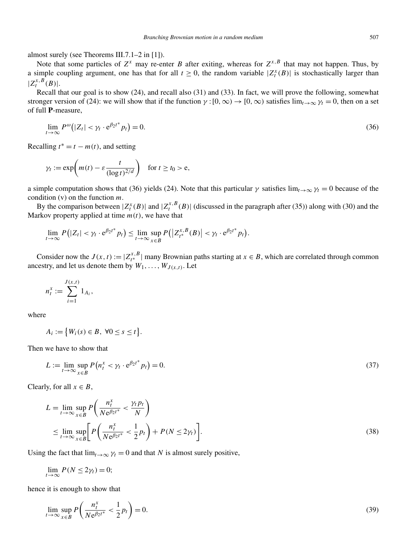almost surely (see Theorems III.7.1–2 in [1]).

Note that some particles of  $Z^x$  may re-enter *B* after exiting, whereas for  $Z^{x,B}$  that may not happen. Thus, by a simple coupling argument, one has that for all  $t \ge 0$ , the random variable  $|Z_t^x(B)|$  is stochastically larger than  $|Z_t^{x,B}(B)|$ .

Recall that our goal is to show (24), and recall also (31) and (33). In fact, we will prove the following, somewhat stronger version of (24): we will show that if the function  $\gamma$  : [0, ∞)  $\rightarrow$  [0, ∞) satisfies  $\lim_{t\to\infty}\gamma_t=0$ , then on a set of full **P**-measure, *t*<br> *t*= *version*<br> **P**-measu<br>  $\lim_{t\to\infty} P^{\omega}$  (

$$
\lim_{t \to \infty} P^{\omega} (|Z_t| < \gamma_t \cdot e^{\beta_2 t^*} p_t) = 0. \tag{36}
$$

Recalling  $t^* = t - m(t)$ , and setting

$$
\lim_{t \to \infty} P^{\infty}(|Z_t| < \gamma_t \cdot e^{\rho_2 t} \quad p_t) = 0.
$$
\n
$$
\lim_{t \to \infty} t^* = t - m(t), \text{ and setting}
$$
\n
$$
\gamma_t := \exp\left(m(t) - \varepsilon \frac{t}{(\log t)^{2/d}}\right) \quad \text{for } t \ge t_0 > e,
$$

a simple computation shows that (36) yields (24). Note that this particular  $\gamma$  satisfies  $\lim_{t\to\infty} \gamma_t = 0$  because of the condition (v) on the function *m*.

By the comparison between  $|Z_t^x(B)|$  and  $|Z_t^{x,B}(B)|$  (discussed in the paragraph after (35)) along with (30) and the Markov property applied at time  $m(t)$ , we have that on the function *m*.<br>
mparison between  $|Z_t^x(B)|$  and  $|Z_t^{x,B}(B)|$  (discussed in the p<br>
erty applied at time *m*(*t*), we have that<br>  $(|Z_t| < \gamma_t \cdot e^{\beta_2 t^*} p_t) \le \lim_{t \to \infty} \sup_{t \to \infty} P(|Z_{t^*}^{x,B}(B)| < \gamma_t \cdot e^{\beta_2 t^*} p_t)$ 

$$
\lim_{t\to\infty}P(|Z_t|<\gamma_t\cdot e^{\beta_2t^*}p_t)\leq \lim_{t\to\infty}\sup_{x\in B}P(|Z_{t^*}^{x,B}(B)|<\gamma_t\cdot e^{\beta_2t^*}p_t).
$$

Consider now the  $J(x, t) := |Z_{t^*}^{x, B}|$  many Brownian paths starting at  $x \in B$ , which are correlated through common ancestry, and let us denote them by  $W_1, \ldots, W_{J(x,t)}$ . Let now

$$
n_t^x := \sum_{i=1}^{J(x,t)} 1_{A_i},
$$
  

$$
A_i := \{W_i(s) \in
$$

where

$$
A_i := \big\{ W_i(s) \in B, \ \forall 0 \le s \le t \big\}.
$$

Then we have to show that

$$
L := \lim_{t \to \infty} \sup_{x \in B} P\left(n_t^x < \gamma_t \cdot e^{\beta_2 t^*} p_t\right) = 0. \tag{37}
$$

Clearly, for all  $x \in B$ ,

$$
L = \lim_{t \to \infty} \sup_{x \in B} P\left(\frac{n_t^x}{Ne^{\beta_2 t^*}} < \frac{\gamma_t p_t}{N}\right)
$$
  
\n
$$
\leq \lim_{t \to \infty} \sup_{x \in B} \left[ P\left(\frac{n_t^x}{Ne^{\beta_2 t^*}} < \frac{1}{2}p_t\right) + P(N \le 2\gamma_t) \right].
$$
\n(38)

Using the fact that  $\lim_{t\to\infty} \gamma_t = 0$  and that *N* is almost surely positive,

$$
\lim_{t\to\infty} P(N \leq 2\gamma_t) = 0;
$$

hence it is enough to show that

$$
\lim_{t \to \infty} \sup_{x \in B} P\left(\frac{n_t^x}{N e^{\beta_2 t^*}} < \frac{1}{2} p_t\right) = 0. \tag{39}
$$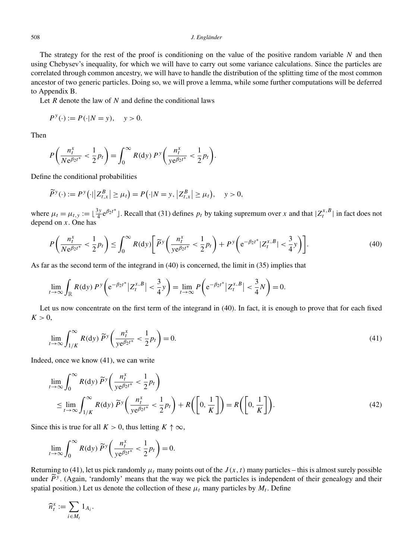The strategy for the rest of the proof is conditioning on the value of the positive random variable *N* and then using Chebysev's inequality, for which we will have to carry out some variance calculations. Since the particles are correlated through common ancestry, we will have to handle the distribution of the splitting time of the most common ancestor of two generic particles. Doing so, we will prove a lemma, while some further computations will be deferred to Appendix B.

Let *R* denote the law of *N* and define the conditional laws

$$
P^y(\cdot) := P(\cdot | N = y), \quad y > 0.
$$

Then

$$
P\left(\frac{n_t^x}{Ne^{\beta_2 t^*}} < \frac{1}{2}p_t\right) = \int_0^\infty R(\mathrm{d}y) \, P^y\left(\frac{n_t^x}{ye^{\beta_2 t^*}} < \frac{1}{2}p_t\right).
$$
\ne the conditional probabilities

\n
$$
\widetilde{P}^y(\cdot) := P^y(\cdot || Z_{t,x}^B| \ge \mu_t) = P(\cdot | N = y, | Z_{t,x}^B| \ge \mu_t),
$$

Define the conditional probabilities

$$
\widetilde{P}^y(\cdot) := P^y\big(\cdot \big|\big| Z_{t,x}^B\big| \ge \mu_t\big) = P\big(\cdot | N = y, \big| Z_{t,x}^B\big| \ge \mu_t\big), \quad y > 0,
$$

where  $\mu_t = \mu_{t,y} := \left[\frac{3y}{4} e^{\beta_2 t^*}\right]$ . Recall that (31) defines  $p_t$  by taking supremum over *x* and that  $|Z_t^{x,B}|$  in fact does not depend on *x*. One has  $R_t = \mu_{t,y} := \left\lfloor \frac{3y}{4} e^{\beta_2 t^*} \right\rfloor$ . Recall that<br>on *x*. One has<br> $\left( \frac{n_t^x}{N} \frac{1}{8t^{1+x}} \right) \le \int_0^\infty R(\mathrm{d}y)$  $\mathcal{C}$ 

$$
P\left(\frac{n_t^x}{N e^{\beta_2 t^*}} < \frac{1}{2} p_t\right) \le \int_0^\infty R(\mathrm{d}y) \bigg[ \widetilde{P}^y \left(\frac{n_t^x}{y e^{\beta_2 t^*}} < \frac{1}{2} p_t\right) + P^y \left(e^{-\beta_2 t^*} |Z_t^{x,B}| < \frac{3}{4} y\right) \bigg].\tag{40}
$$

As far as the second term of the integrand in (40) is concerned, the limit in (35) implies that

$$
\left(\frac{1}{N e^{\beta_2 t^*}} - \frac{2^{Pt}}{2^{Pt}}\right) - \int_0^{R(x,y)} \left(\frac{1}{N e^{\beta_2 t^*}} - \frac{2^{Pt}}{2^{Pt}}\right)^{1/2} \left(\frac{1}{N e^{\beta_2 t^*}}\right)^{1/2}
$$
\n
$$
\text{or as the second term of the integrand in (40) is concerned, the limit in (35) implies}
$$
\n
$$
\lim_{t \to \infty} \int_{\mathbb{R}} R(\text{d}y) \, P^y \left(e^{-\beta_2 t^*} |Z_t^{x,B}| < \frac{3}{4}y\right) = \lim_{t \to \infty} P\left(e^{-\beta_2 t^*} |Z_t^{x,B}| < \frac{3}{4}y\right) = 0.
$$

Let us now concentrate on the first term of the integrand in (40). In fact, it is enough to prove that for each fixed  $K > 0$ , `at

It is now concentrate on the first term of the integrand in (40). In fact, it is enough to prove that for each fixed

\n\n
$$
\lim_{t \to \infty} \int_{1/K}^{\infty} R(\mathrm{d}y) \, \widetilde{P}^y \left( \frac{n_t^x}{y e^{\beta_2 t^*}} < \frac{1}{2} p_t \right) = 0.
$$
\n

\n(41)

Indeed, once we know (41), we can write

d, once we know (41), we can write  
\n
$$
\lim_{t \to \infty} \int_0^{\infty} R(\mathrm{d}y) \widetilde{P}^y \left( \frac{n_t^x}{y e^{\beta_2 t^*}} < \frac{1}{2} p_t \right)
$$
\n
$$
\leq \lim_{t \to \infty} \int_1^{\infty} R(\mathrm{d}y) \widetilde{P}^y \left( \frac{n_t^x}{y e^{\beta_2 t^*}} < \frac{1}{2} p_t \right) + R \left( \left[ 0, \frac{1}{K} \right] \right) = R \left( \left[ 0, \frac{1}{K} \right] \right).
$$
\n(42)

Since this is true for all  $K > 0$ , thus letting  $K \uparrow \infty$ ,

$$
-t \to \infty \int_{1/K} \left( \int_{y e^{\beta_2 t^*}}^{y e^{\beta_2 t^*}} 2^{T^*} \right)
$$
  
this is true for all  $K > 0$ , thus letting  $K \uparrow$   

$$
\lim_{t \to \infty} \int_0^\infty R(\mathrm{d}y) \widetilde{P}^y \left( \frac{n_t^x}{y e^{\beta_2 t^*}} < \frac{1}{2} p_t \right) = 0.
$$

Returning to (41), let us pick randomly  $\mu_t$  many points out of the  $J(x, t)$  many particles – this is almost surely possible under  $\tilde{P}$ <sup>y</sup>. (Again, 'randomly' means that the way we pick the particles is independent of their genealogy and their spatial position.) Let us denote the collection of these  $\mu_t$  many particles by  $M_t$ . Define  $\widetilde{P}^{y}$ . (Aga<br>position.)<br> $\widetilde{t}^{x} := \sum$ 

$$
\widehat{n}_t^x := \sum_{i \in M_t} 1_{A_i}.
$$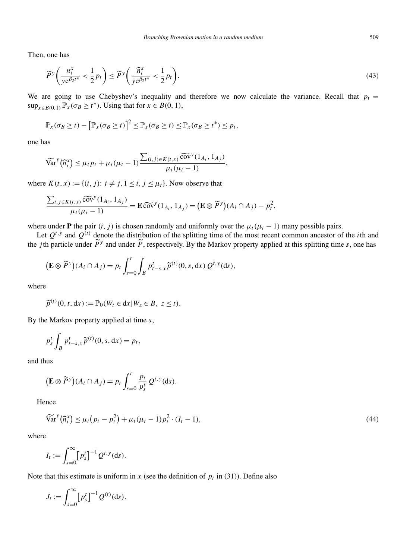Then, one has

one has  
\n
$$
\widetilde{P}^y \left( \frac{n_t^x}{y e^{\beta_2 t^*}} < \frac{1}{2} p_t \right) \le \widetilde{P}^y \left( \frac{\widehat{n}_t^x}{y e^{\beta_2 t^*}} < \frac{1}{2} p_t \right).
$$
\n(43)

We are going to use Chebyshev's inequality and therefore we now calculate the variance. Recall that  $p_t = \sup_{x \in B(0,1)} \mathbb{P}_x(\sigma_B \ge t^*)$ . Using that for  $x \in B(0, 1)$ ,<br>  $\mathbb{P}_x(\sigma_B \ge t) - [\mathbb{P}_x(\sigma_B \ge t)]^2 \le \mathbb{P}_x(\sigma_B \ge t) \le \mathbb{P}_x$ sup<sub>*x*∈*B*(0*,* 1)</sub>  $\mathbb{P}_x$ (*σB* ≥ *t*<sup>\*</sup>). Using that for *x* ∈ *B*(0*,* 1),

$$
\mathbb{P}_x(\sigma_B \geq t) - \big[\mathbb{P}_x(\sigma_B \geq t)\big]^2 \leq \mathbb{P}_x(\sigma_B \geq t) \leq \mathbb{P}_x(\sigma_B \geq t^*) \leq p_t,
$$

one has

$$
\begin{aligned} \n\widetilde{\mathbb{E}}_{x} \left( \partial_{B} Z(t) - \mu_{x} \left( \partial_{B} Z(t) \right) \right) &\leq \mathbb{E}_{x} \left( \partial_{B} Z(t) \right) \leq \mathbb{E}_{x} \left( \partial_{B} Z(t) \right) \leq \mathbb{E}_{x} \left( \partial_{B} Z(t) \right) \leq \mathbb{E}_{x} \left( \partial_{B} Z(t) \right) \leq \mathbb{E}_{x} \left( \partial_{B} Z(t) \right) \leq \mathbb{E}_{x} \left( \partial_{B} Z(t) \right) \leq \mathbb{E}_{x} \left( \partial_{B} Z(t) \right) \leq \mathbb{E}_{x} \left( \partial_{B} Z(t) \right) \leq \mathbb{E}_{x} \left( \partial_{B} Z(t) \right) \leq \mathbb{E}_{x} \left( \partial_{B} Z(t) \right) \leq \mathbb{E}_{x} \left( \partial_{B} Z(t) \right) \leq \mathbb{E}_{x} \left( \partial_{B} Z(t) \right) \leq \mathbb{E}_{x} \left( \partial_{B} Z(t) \right) \leq \mathbb{E}_{x} \left( \partial_{B} Z(t) \right) \leq \mathbb{E}_{x} \left( \partial_{B} Z(t) \right) \leq \mathbb{E}_{x} \left( \partial_{B} Z(t) \right) \leq \mathbb{E}_{x} \left( \partial_{B} Z(t) \right) \leq \mathbb{E}_{x} \left( \partial_{B} Z(t) \right) \leq \mathbb{E}_{x} \left( \partial_{B} Z(t) \right) \leq \mathbb{E}_{x} \left( \partial_{B} Z(t) \right) \leq \mathbb{E}_{x} \left( \partial_{B} Z(t) \right) \leq \mathbb{E}_{x} \left( \partial_{B} Z(t) \right) \leq \mathbb{E}_{x} \left( \partial_{B} Z(t) \right) \leq \mathbb{E}_{x} \left( \partial_{B} Z(t) \right) \leq \mathbb{E}_{x} \left( \partial_{B} Z(t) \right) \leq \mathbb{E}_{x} \left( \partial_{B} Z(t) \right) \leq \mathbb{E}_{x} \left( \partial_{B} Z(t) \right) \leq \mathbb{E}_{x} \left( \partial_{B} Z(t) \right) \leq \
$$

where  $K(t, x) := \{(i, j): i \neq j, 1 \leq i, j \leq \mu_t\}$ . Now observe that

$$
\mu_t(\mu_t - 1)
$$
  
\n
$$
K(t, x) := \{(i, j): i \neq j, 1 \leq i, j \leq \mu_t\}.
$$
 Now observe that  
\n
$$
\frac{\sum_{i,j \in K(t, x)} \widetilde{\text{cov}}^y(1_{A_i}, 1_{A_j})}{\mu_t(\mu_t - 1)} = \mathbf{E} \widetilde{\text{cov}}^y(1_{A_i}, 1_{A_j}) = \left(\mathbf{E} \otimes \widetilde{P}^y\right)(A_i \cap A_j) - p_t^2,
$$

where under **P** the pair  $(i, j)$  is chosen randomly and uniformly over the  $\mu_t(\mu_t - 1)$  many possible pairs.

Let  $Q^{t,y}$  and  $Q^{(t)}$  denote the distribution of the splitting time of the most recent common ancestor of the *i*th and the *j*th particle under  $\widetilde{P}$ <sup>*y*</sup> and under  $\widetilde{P}$ , respectively. By the Markov property applied at this splitting time *s*, one has *t* $Q^{t,y}$  and  $Q^{(t)}$  denote the distribution of the splitting time of the particle under  $\widetilde{P}^y$  and under  $\widetilde{P}$ , respectively. By the Markov p<br>  $(\mathbf{E} \otimes \widetilde{P}^y)(A_i \cap A_j) = p_t \int_0^t \int_{-\infty}^t p_{t-s,x}^t \widetilde{p}^{(t)}(0$ nd<br>le<br>y

$$
\left(\mathbf{E}\otimes\widetilde{P}^y\right)(A_i\cap A_j)=p_t\int_{s=0}^t\int_B p_{t-s,x}^t\widetilde{p}^{(t)}(0,s,\mathrm{d}x)\ Q^{t,y}(\mathrm{d}s).
$$

where

$$
J_s = 0 \, J \, B
$$
  

$$
\widetilde{p}^{(t)}(0, t, dx) := \mathbb{P}_0(W_t \in dx | W_z \in B, \ z \le t).
$$

By the Markov property applied at time *s*,

e Markov property applied at tin  

$$
p_s^t \int_B p_{t-s,x}^t \widetilde{p}^{(t)}(0, s, dx) = p_t,
$$

and thus

$$
(\mathbf{E} \otimes \widetilde{P}^y)(A_i \cap A_j) = p_t \int_{s=0}^t \frac{p_t}{p_s^t} Q^{t,y}(\mathrm{d}s).
$$
  
since  

$$
\widetilde{\text{Var}}^y(\widehat{n}_t^x) \le \mu_t (p_t - p_t^2) + \mu_t (\mu_t - 1) p_t^2 \cdot (1 - p_t^2)
$$

Hence

$$
\widetilde{\text{Var}}^{y}(\widehat{n}_{t}^{x}) \le \mu_{t}(p_{t} - p_{t}^{2}) + \mu_{t}(\mu_{t} - 1)p_{t}^{2} \cdot (I_{t} - 1),
$$
\n
$$
I_{t} := \int_{0}^{\infty} [p_{s}^{t}]^{-1} Q^{t,y}(\text{d}s).
$$
\n(44)

where

$$
I_t := \int_{s=0}^{\infty} [p_s^t]^{-1} Q^{t,y}(\mathrm{d} s).
$$

Note that this estimate is uniform in *x* (see the definition of  $p_t$  in (31)). Define also

$$
I_t := \int_{s=0}^{t} [P_s] \quad \mathcal{Q} \quad \text{(a.s.)}.
$$
  
that this estimate is uniform  

$$
J_t := \int_{s=0}^{\infty} [P_s^t]^{-1} Q^{(t)}(\text{d}s).
$$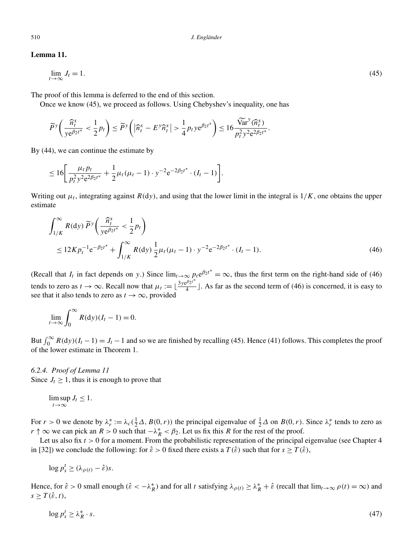# **Lemma 11.**

$$
\lim_{t \to \infty} J_t = 1. \tag{45}
$$

The proof of this lemma is deferred to the end of this section. "  $\text{red}$  to the end

Once we know (45), we proceed as follows. Using Chebyshev's inequality, one has

\n For a specific function, we have:\n 
$$
\widetilde{P}^y \left( \frac{\widehat{n}_t^x}{y e^{\beta_2 t^*}} < \frac{1}{2} p_t \right) \leq \widetilde{P}^y \left( \left| \widehat{n}_t^x - E^y \widehat{n}_t^x \right| > \frac{1}{4} p_t y e^{\beta_2 t^*} \right) \leq 16 \frac{\widetilde{\text{Var}}^y(\widehat{n}_t^x)}{p_t^2 y^2 e^{2\beta_2 t^*}}.
$$
\n

By (44), we can continue the estimate by

$$
\left( y e^{p_2 t} \right)^2 + \left( y e^{p_1 t} \right)^2 + \left( y e^{p_2 t} \right)^2
$$
\n
$$
\leq 16 \left[ \frac{\mu_t p_t}{p_t^2 y^2 e^{2\beta_2 t^*}} + \frac{1}{2} \mu_t (\mu_t - 1) \cdot y^{-2} e^{-2\beta_2 t^*} \cdot (I_t - 1) \right].
$$

Writing out *μ<sub>t</sub>*, integrating against *R(dy)*, and using that the lower limit in the integral is  $1/K$ , one obtains the upper estimate<br>  $\int_{0}^{\infty} P(t) \sqrt{n_t^x}$   $1$ estimate

$$
\int_{1/K}^{\infty} R(\mathrm{d}y) \, \widetilde{P}^y \bigg( \frac{\widehat{n}_t^x}{y \mathrm{e}^{\beta_2 t^*}} < \frac{1}{2} p_t \bigg) \leq 12 K p_t^{-1} \mathrm{e}^{-\beta_2 t^*} + \int_{1/K}^{\infty} R(\mathrm{d}y) \frac{1}{2} \mu_t (\mu_t - 1) \cdot y^{-2} \mathrm{e}^{-2\beta_2 t^*} \cdot (I_t - 1).
$$
\n
$$
(46)
$$

(Recall that  $I_t$  in fact depends on *y*.) Since  $\lim_{t\to\infty} p_t e^{\beta_2 t^*} = \infty$ , thus the first term on the right-hand side of (46) tends to zero as  $t \to \infty$ . Recall now that  $\mu_t := \lfloor \frac{3y e^{\beta_2 t}}{4} \rfloor$ . As far as the second term of (46) is concerned, it is easy to see that it also tends to zero as  $t \to \infty$ , provided to zero as<br>at it also t<br> $\lim_{t\to\infty}\int_0^\infty$ 

$$
\lim_{t \to \infty} \int_0^\infty R(\mathrm{d}y)(I_t - 1) = 0.
$$

 $\lim_{t \to \infty} \int_0^{\infty} R(\mathrm{d}y)(I_t - 1) = 0.$ <br>But  $\int_0^{\infty} R(\mathrm{d}y)(I_t - 1) = J_t - 1$  and so we are finished by recalling (45). Hence (41) follows. This completes the proof of the lower estimate in Theorem 1.

# *6.2.4. Proof of Lemma 11* Since  $J_t \geq 1$ , thus it is enough to prove that

# $\limsup_{t\to\infty} J_t \leq 1.$

For  $r > 0$  we denote by  $\lambda_r^* := \lambda_c(\frac{1}{2}\Delta, B(0, r))$  the principal eigenvalue of  $\frac{1}{2}\Delta$  on  $B(0, r)$ . Since  $\lambda_r^*$  tends to zero as *r* ↑ ∞ we can pick an *R* > 0 such that  $-\lambda_R^* < \beta_2$ . Let us fix this *R* for the rest of the proof.

Let us also fix  $t > 0$  for a moment. From the probabilistic representation of the principal eigenvalue (see Chapter 4 in [32]) we conclude the following: for  $\hat{\varepsilon} > 0$  fixed there exists a  $T(\hat{\varepsilon})$  such that for  $s \geq T(\hat{\varepsilon})$ ,

 $\log p_s^t \geq (\lambda_{\rho(t)} - \hat{\varepsilon})s.$ 

Hence, for  $\hat{\varepsilon} > 0$  small enough  $(\hat{\varepsilon} < -\lambda_R^*)$  and for all *t* satisfying  $\lambda_{\rho(t)} \ge \lambda_R^* + \hat{\varepsilon}$  (recall that  $\lim_{t \to \infty} \rho(t) = \infty$ ) and  $s \geq T(\hat{\varepsilon}, t),$ 

$$
\log p_s^t \ge \lambda_R^* \cdot s. \tag{47}
$$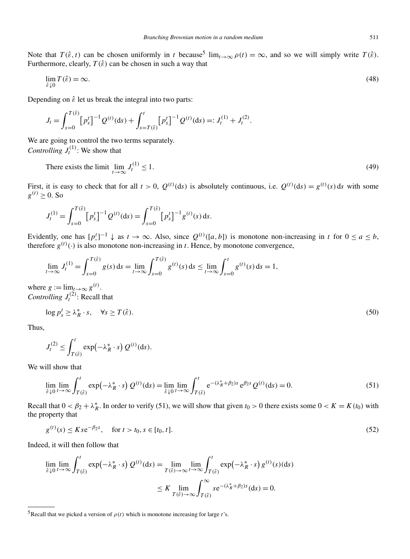Note that  $T(\hat{\varepsilon}, t)$  can be chosen uniformly in *t* because<sup>5</sup> lim<sub> $t\to\infty$ </sub>  $\rho(t) = \infty$ , and so we will simply write  $T(\hat{\varepsilon})$ . Furthermore, clearly,  $T(\hat{\varepsilon})$  can be chosen in such a way that

$$
\lim_{\hat{\varepsilon}\downarrow 0} T(\hat{\varepsilon}) = \infty. \tag{48}
$$

Depending on  $\hat{\varepsilon}$  let us break the integral into two parts:

$$
J_t = \int_{s=0}^{T(\hat{\varepsilon})} \left[ p_s^t \right]^{-1} Q^{(t)}(\mathrm{d}s) + \int_{s=T(\hat{\varepsilon})}^t \left[ p_s^t \right]^{-1} Q^{(t)}(\mathrm{d}s) =: J_t^{(1)} + J_t^{(2)}.
$$

We are going to control the two terms separately. *Controlling*  $J_t^{(1)}$ : We show that

There exists the limit 
$$
\lim_{t \to \infty} J_t^{(1)} \le 1
$$
. (49)

First, it is easy to check that for all  $t > 0$ ,  $Q^{(t)}$ (ds) is absolutely continuous, i.e.  $Q^{(t)}$ (ds) =  $g^{(t)}(s)$  ds with some  $g^{(t)} > 0$ . So sy to check that for all  $t > 0$ ,  $Q^{(t)}$ 

$$
J_t^{(1)} = \int_{s=0}^{T(\hat{\varepsilon})} \left[ p_s^t \right]^{-1} Q^{(t)}(\mathrm{d}s) = \int_{s=0}^{T(\hat{\varepsilon})} \left[ p_s^t \right]^{-1} g^{(t)}(s) \, \mathrm{d}s.
$$

Evidently, one has  $[p^t]^{-1} \downarrow$  as  $t \to \infty$ . Also, since  $Q^{(t)}([a, b])$  is monotone non-increasing in *t* for  $0 \le a \le b$ , therefore  $g^{(t)}(\cdot)$  is also monotone non-increasing in *t*. Hence, by monotone convergence,

\n (or 
$$
g^{(t)}(\cdot)
$$
 is also monotone non-increasing in *t*. Hence, by monotone converge.\n

\n\n (a, b) is monotone non-zero.\n

\n\n (a, b) is monotone non-zero.\n

\n\n (b) If  $g^{(t)}(\cdot)$  is also monotone non-increasing in *t*. Hence, by monotone converges.\n

\n\n
$$
\lim_{t \to \infty} J_t^{(1)} = \int_{s=0}^{T(\hat{\varepsilon})} g(s) \, ds = \lim_{t \to \infty} \int_{s=0}^{T(\hat{\varepsilon})} g^{(t)}(s) \, ds \leq \lim_{t \to \infty} \int_{s=0}^{t} g^{(t)}(s) \, ds = 1,
$$
\n

where  $g := \lim_{t \to \infty} g^{(t)}$ . *Controlling*  $J_t^{(2)}$ : Recall that

$$
\log p_s^t \ge \lambda_R^* \cdot s, \quad \forall s \ge T(\hat{\varepsilon}). \tag{50}
$$

Thus,

$$
\log p_s^t \ge \lambda_R^* \cdot s, \quad \forall s \ge T(\hat{\varepsilon}).
$$
\n
$$
J_t^{(2)} \le \int_{T(\hat{\varepsilon})}^t \exp(-\lambda_R^* \cdot s) Q^{(t)}(\text{d}s).
$$

We will show that

$$
J_t^{(2)} \leq \int_{T(\hat{\varepsilon})} \exp(-\lambda_R^* \cdot s) Q^{(t)}(\text{d}s).
$$
  
ill show that  

$$
\lim_{\hat{\varepsilon} \downarrow 0} \lim_{t \to \infty} \int_{T(\hat{\varepsilon})}^t \exp(-\lambda_R^* \cdot s) Q^{(t)}(\text{d}s) = \lim_{\hat{\varepsilon} \downarrow 0} \lim_{t \to \infty} \int_{T(\hat{\varepsilon})}^t e^{-(\lambda_R^* + \beta_2)s} e^{\beta_2 s} Q^{(t)}(\text{d}s) = 0.
$$
 (51)

Recall that  $0 < \beta_2 + \lambda_R^*$ . In order to verify (51), we will show that given  $t_0 > 0$  there exists some  $0 < K = K(t_0)$  with the property that

$$
g^{(t)}(s) \le Kse^{-\beta_2 s}, \quad \text{for } t > t_0, s \in [t_0, t].
$$
\n(52)

Indeed, it will then follow that

$$
g^{(t)}(s) \leq Kse^{-\beta_2 s}, \quad \text{for } t > t_0, s \in [t_0, t].
$$
  
d, it will then follow that  

$$
\lim_{\hat{\varepsilon} \downarrow 0} \lim_{t \to \infty} \int_{T(\hat{\varepsilon})}^{t} \exp(-\lambda_R^* \cdot s) Q^{(t)}(\text{d}s) = \lim_{T(\hat{\varepsilon}) \to \infty} \lim_{t \to \infty} \int_{T(\hat{\varepsilon})}^{t} \exp(-\lambda_R^* \cdot s) g^{(t)}(s)(\text{d}s)
$$

$$
\leq K \lim_{T(\hat{\varepsilon}) \to \infty} \int_{T(\hat{\varepsilon})}^{\infty} s e^{-(\lambda_R^* + \beta_2)s}(\text{d}s) = 0.
$$

<sup>&</sup>lt;sup>5</sup>Recall that we picked a version of  $\rho(t)$  which is monotone increasing for large *t*'s.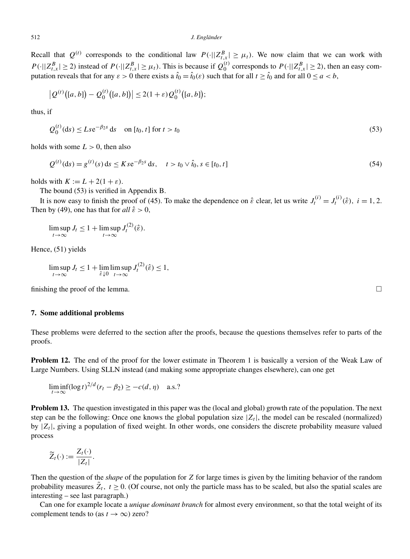Recall that  $Q^{(t)}$  corresponds to the conditional law  $P(\cdot||Z_{t,x}^B| \geq \mu_t)$ . We now claim that we can work with  $P(\cdot||Z_{t,x}^B| \ge 2)$  instead of  $P(\cdot||Z_{t,x}^B| \ge \mu_t)$ . This is because if  $Q_0^{(t)}$  corresponds to  $P(\cdot||Z_{t,x}^B| \ge 2)$ , then an easy computation reveals that for any  $\varepsilon > 0$  there exists a  $\hat{t}_0 = \hat{t}_0(\varepsilon)$  such that fo putation reveals that for any  $\varepsilon > 0$  there exists a  $\hat{t}_0 = \hat{t}_0(\varepsilon)$  such that for all  $t \ge \hat{t}_0$  and for all  $0 \le a < b$ ,

$$
\left|Q^{(t)}\big([a,b]\big)-Q_0^{(t)}\big([a,b]\big)\right|\leq 2(1+\varepsilon)Q_0^{(t)}\big([a,b]\big);
$$

thus, if

$$
Q_0^{(t)}(\text{d}s) \le Lse^{-\beta_2 s} \text{d}s \quad \text{on } [t_0, t] \text{ for } t > t_0 \tag{53}
$$

holds with some  $L > 0$ , then also

$$
Q^{(t)}(ds) = g^{(t)}(s) ds \le Kse^{-\beta_2 s} ds, \quad t > t_0 \vee \hat{t}_0, s \in [t_0, t]
$$
\n(54)

holds with  $K := L + 2(1 + \varepsilon)$ .

The bound (53) is verified in Appendix B.

It is now easy to finish the proof of (45). To make the dependence on  $\hat{\varepsilon}$  clear, let us write  $J_t^{(i)} = J_t^{(i)}(\hat{\varepsilon})$ ,  $i = 1, 2$ . Then by (49), one has that for  $all \hat{\epsilon} > 0$ ,

$$
\limsup_{t\to\infty} J_t \le 1 + \limsup_{t\to\infty} J_t^{(2)}(\hat{\varepsilon}).
$$

Hence, (51) yields

$$
\limsup_{t \to \infty} J_t \le 1 + \lim_{\hat{\varepsilon} \downarrow 0} \limsup_{t \to \infty} J_t^{(2)}(\hat{\varepsilon}) \le 1,
$$

finishing the proof of the lemma.  $\Box$ 

### **7. Some additional problems**

These problems were deferred to the section after the proofs, because the questions themselves refer to parts of the proofs.

**Problem 12.** The end of the proof for the lower estimate in Theorem 1 is basically a version of the Weak Law of Large Numbers. Using SLLN instead (and making some appropriate changes elsewhere), can one get

$$
\liminf_{t \to \infty} (\log t)^{2/d} (r_t - \beta_2) \geq -c(d, \eta) \quad \text{a.s.?}
$$

**Problem 13.** The question investigated in this paper was the (local and global) growth rate of the population. The next step can be the following: Once one knows the global population size  $|Z_t|$ , the model can be rescaled (normalized) by  $|Z_t|$ , giving a population of fixed weight. In other words, one considers the discrete probability measure valued process

$$
\widetilde{Z}_t(\cdot) := \frac{Z_t(\cdot)}{|Z_t|}.
$$

Then the question of the *shape* of the population for *Z* for large times is given by the limiting behavior of the random probability measures  $Z_t$ ,  $t \ge 0$ . (Of course, not only the particle mass has to be scaled, but also the spatial scales are interesting – see last paragraph.)

Can one for example locate a *unique dominant branch* for almost every environment, so that the total weight of its complement tends to (as  $t \to \infty$ ) zero?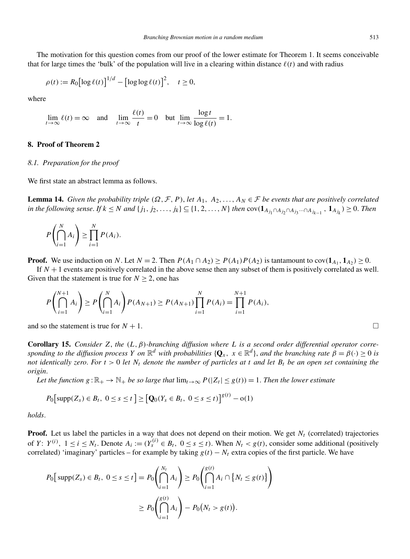The motivation for this question comes from our proof of the lower estimate for Theorem 1. It seems conceivable that for large times the 'bulk' of the population will live in a clearing within distance  $\ell(t)$  and with radius log for this question comes from<br>  $\left[\log \ell(t)\right]^{1/d} - \left[\log \log \ell(t)\right]^2$ 

$$
\rho(t) := R_0 \big[ \log \ell(t) \big]^{1/d} - \big[ \log \log \ell(t) \big]^2, \quad t \ge 0,
$$

where

$$
\lim_{t \to \infty} \ell(t) = \infty \quad \text{and} \quad \lim_{t \to \infty} \frac{\ell(t)}{t} = 0 \quad \text{but } \lim_{t \to \infty} \frac{\log t}{\log \ell(t)} = 1.
$$

# **8. Proof of Theorem 2**

#### *8.1. Preparation for the proof*

We first state an abstract lemma as follows.

**Lemma 14.** *Given the probability triple*  $(\Omega, \mathcal{F}, P)$ *, let*  $A_1, A_2, ..., A_N \in \mathcal{F}$  *be events that are positively correlated* in the following sense. If  $k \leq N$  and  $\{j_1, j_2, \ldots, j_k\} \subseteq \{1, 2, \ldots, N\}$  then  $cov(\mathbf{1}_{A_{j_1} \cap A_{j_2} \cap A_{j_3} \cdots \cap A_{j_{k-1}}}$ ,  $\mathbf{1}_{A_{j_k}}) \geq 0$ . Then n the<br>?nse. 1<br>}<br>}

$$
P\left(\bigcap_{i=1}^N A_i\right) \ge \prod_{i=1}^N P(A_i).
$$

**Proof.** We use induction on N. Let  $N = 2$ . Then  $P(A_1 \cap A_2) \ge P(A_1)P(A_2)$  is tantamount to  $cov(\mathbf{1}_{A_1}, \mathbf{1}_{A_2}) \ge 0$ .

If  $N+1$  events are positively correlated in the above sense then any subset of them is positively correlated as well. Given that the statement is true for  $N \ge 2$ , one has

$$
P\left(\bigcap_{i=1}^{N+1} A_i\right) \ge P\left(\bigcap_{i=1}^{N} A_i\right) P(A_{N+1}) \ge P(A_{N+1}) \prod_{i=1}^{N} P(A_i) = \prod_{i=1}^{N+1} P(A_i),
$$

and so the statement is true for  $N + 1$ .

**Corollary 15.** *Consider Z*, *the* (*L*,  $\beta$ )*-branching diffusion where L is a second order differential operator corresponding to the diffusion process Y on*  $\mathbb{R}^d$  *with probabilities* { $\mathbf{Q}_x$ ,  $x \in \mathbb{R}^d$ }, *and the branching rate*  $\beta = \beta(\cdot) \ge 0$  *is not identically zero*. *For t >* 0 *let Nt denote the number of particles at t and let Bt be an open set containing the origin*.  $\int_{t}^{t}$  denote the number of particles at  $t$ <br>  $\int_{t}^{t} g(t) dt = \sum_{i} \left[ Q_{0}(Y_{s} \in B_{t}, 0 \leq s \leq t) \right]^{g(t)} - o(1)$ 

*Let the function*  $g : \mathbb{R}_+ \to \mathbb{N}_+$  *be so large that*  $\lim_{t\to\infty} P(|Z_t| \leq g(t)) = 1$ . *Then the lower estimate* 

$$
P_0[\text{supp}(Z_s) \in B_t, \ 0 \le s \le t] \ge [\mathbf{Q}_0(Y_s \in B_t, \ 0 \le s \le t)]^{g(t)} - o(1)
$$

*holds*.

**Proof.** Let us label the particles in a way that does not depend on their motion. We get  $N_t$  (correlated) trajectories of *Y*:  $Y^{(i)}$ ,  $1 \le i \le N_t$ . Denote  $A_i := (Y_s^{(i)} \in B_t, 0 \le s \le t)$ . When  $N_t < g(t)$ , consider some additional (positively correlated) 'imaginary' particles – for example by taking  $g(t) - N_t$  extra copies of the first particle. We have Let us fabel the particles in a way that does not depend on their motion<br> *i*),  $1 \le i \le N_t$ . Denote  $A_i := (Y_s^{(i)} \in B_t, 0 \le s \le t)$ . When  $N_t < g(t)$ ,<br> *A*) 'imaginary' particles – for example by taking  $g(t) - N_t$  extra copies<br>  $\left[\$  $\mathbf{I}$ 

$$
P_0[\text{supp}(Z_s) \in B_t, \ 0 \le s \le t] = P_0 \left( \bigcap_{i=1}^{N_t} A_i \right) \ge P_0 \left( \bigcap_{i=1}^{g(t)} A_i \cap \{ N_t \le g(t) \} \right)
$$

$$
\ge P_0 \left( \bigcap_{i=1}^{g(t)} A_i \right) - P_0 \left( N_t > g(t) \right).
$$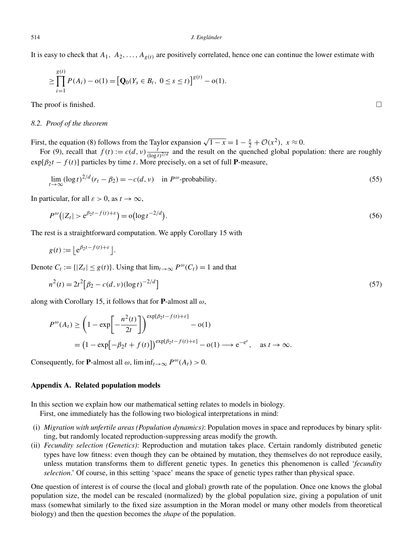It is easy to check that *A*1*, A*2*,...,Ag(t)* are positively correlated, hence one can continue the lower estimate with

easy to check that 
$$
A_1
$$
,  $A_2$ , ...,  $A_{g(t)}$  are positively correlated, hence one can continue the lower estimate with  
\n
$$
\geq \prod_{i=1}^{g(t)} P(A_i) - o(1) = [Q_0(Y_s \in B_t, 0 \leq s \leq t)]^{g(t)} - o(1).
$$

The proof is finished.  $\Box$ 

# *8.2. Proof of the theorem*

First, the equation (8) follows from the Taylor expansion  $\sqrt{1-x} = 1 - \frac{x}{2} + \mathcal{O}(x^2)$ ,  $x \approx 0$ .

For (9), recall that  $f(t) := c(d, v) \frac{t}{(\log t)^{2/d}}$  and the result on the quenched global population: there are roughly  $\exp[\beta_2 t - f(t)]$  particles by time *t*. More precisely, on a set of full **P**-measure,

$$
\lim_{t \to \infty} (\log t)^{2/d} (r_t - \beta_2) = -c(d, v) \quad \text{in } P^{\omega} \text{-probability.}
$$
\n(55)

\n
$$
\text{ticular, for all } \varepsilon > 0, \text{ as } t \to \infty,
$$
\n
$$
P^{\omega}(|Z| > e^{\beta_2 t - f(t) + \varepsilon}) = o(\log t^{-2/d})
$$
\n(56)

In particular, for all  $\varepsilon > 0$ , as  $t \to \infty$ ,

$$
\lim_{t \to \infty} (\log t)^{t - t} (r_t - p_2) = -c(a, v) \quad \text{in } P^{\infty}\text{-probability.}
$$
\n(33)

\ntricular, for all  $\varepsilon > 0$ , as  $t \to \infty$ ,

\n
$$
P^{\omega}(|Z_t| > e^{\beta_2 t - f(t) + \varepsilon}) = o(\log t^{-2/d}).
$$
\n(56)

The rest is a straightforward computation. We apply Corollary 15 with

$$
P^{\omega}(|Z_t| > e^{p_2 t - f(t) + \varepsilon})
$$
  
est is a straightforward  

$$
g(t) := |e^{\beta_2 t - f(t) + \varepsilon}|.
$$

Denote  $C_t := \{ |Z_t| \le g(t) \}$ . Using that  $\lim_{t \to \infty} P^{\omega}(C_t) = 1$  and that  $Z_t$ <br>25

$$
g(t) := [e^{b_2 t - f(t) + \varepsilon}]
$$
  
the  $C_t := \{ |Z_t| \le g(t) \}$ . Using that  $\lim_{t \to \infty} P^{\omega}(C_t) = 1$  and that  

$$
n^2(t) = 2t^2 [\beta_2 - c(d, v)(\log t)^{-2/d}]
$$
 (57)

along with Corollary 15, it follows that for **P**-almost all *ω*,

$$
n^{2}(t) = 2t^{2} \left[ \beta_{2} - c(a, v) (\log t)^{-2/\alpha} \right]
$$
  
with Corollary 15, it follows that for **P**-almost all  $\omega$ ,  

$$
P^{\omega}(A_{t}) \ge \left( 1 - \exp \left[ -\frac{n^{2}(t)}{2t} \right] \right)^{\exp[\beta_{2}t - f(t) + \varepsilon]} - o(1)
$$

$$
= \left( 1 - \exp \left[ -\beta_{2}t + f(t) \right] \right)^{\exp[\beta_{2}t - f(t) + \varepsilon]} - o(1) \longrightarrow e^{-e^{\varepsilon}}, \quad \text{as } t \to \infty.
$$

Consequently, for **P**-almost all  $\omega$ ,  $\liminf_{t\to\infty} P^{\omega}(A_t) > 0$ .

# **Appendix A. Related population models**

In this section we explain how our mathematical setting relates to models in biology.

First, one immediately has the following two biological interpretations in mind:

- (i) *Migration with unfertile areas (Population dynamics)*: Population moves in space and reproduces by binary splitting, but randomly located reproduction-suppressing areas modify the growth.
- (ii) *Fecundity selection (Genetics)*: Reproduction and mutation takes place. Certain randomly distributed genetic types have low fitness: even though they can be obtained by mutation, they themselves do not reproduce easily, unless mutation transforms them to different genetic types. In genetics this phenomenon is called '*fecundity selection*.' Of course, in this setting 'space' means the space of genetic types rather than physical space.

One question of interest is of course the (local and global) growth rate of the population. Once one knows the global population size, the model can be rescaled (normalized) by the global population size, giving a population of unit mass (somewhat similarly to the fixed size assumption in the Moran model or many other models from theoretical biology) and then the question becomes the *shape* of the population.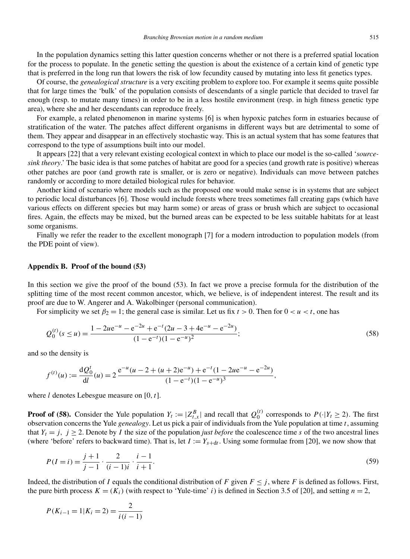In the population dynamics setting this latter question concerns whether or not there is a preferred spatial location for the process to populate. In the genetic setting the question is about the existence of a certain kind of genetic type that is preferred in the long run that lowers the risk of low fecundity caused by mutating into less fit genetics types.

Of course, the *genealogical structure* is a very exciting problem to explore too. For example it seems quite possible that for large times the 'bulk' of the population consists of descendants of a single particle that decided to travel far enough (resp. to mutate many times) in order to be in a less hostile environment (resp. in high fitness genetic type area), where she and her descendants can reproduce freely.

For example, a related phenomenon in marine systems [6] is when hypoxic patches form in estuaries because of stratification of the water. The patches affect different organisms in different ways but are detrimental to some of them. They appear and disappear in an effectively stochastic way. This is an actual system that has some features that correspond to the type of assumptions built into our model.

It appears [22] that a very relevant existing ecological context in which to place our model is the so-called '*sourcesink theory*.' The basic idea is that some patches of habitat are good for a species (and growth rate is positive) whereas other patches are poor (and growth rate is smaller, or is zero or negative). Individuals can move between patches randomly or according to more detailed biological rules for behavior.

Another kind of scenario where models such as the proposed one would make sense is in systems that are subject to periodic local disturbances [6]. Those would include forests where trees sometimes fall creating gaps (which have various effects on different species but may harm some) or areas of grass or brush which are subject to occasional fires. Again, the effects may be mixed, but the burned areas can be expected to be less suitable habitats for at least some organisms.

Finally we refer the reader to the excellent monograph [7] for a modern introduction to population models (from the PDE point of view).

#### **Appendix B. Proof of the bound (53)**

In this section we give the proof of the bound (53). In fact we prove a precise formula for the distribution of the splitting time of the most recent common ancestor, which, we believe, is of independent interest. The result and its proof are due to W. Angerer and A. Wakolbinger (personal communication).

For simplicity we set  $\beta_2 = 1$ ; the general case is similar. Let us fix  $t > 0$ . Then for  $0 < u < t$ , one has

$$
Q_0^{(t)}(s \le u) = \frac{1 - 2ue^{-u} - e^{-2u} + e^{-t}(2u - 3 + 4e^{-u} - e^{-2u})}{(1 - e^{-t})(1 - e^{-u})^2};
$$
\n(58)

and so the density is

$$
f^{(t)}(u) := \frac{\mathrm{d}Q_0^t}{\mathrm{d}l}(u) = 2 \frac{\mathrm{e}^{-u}(u - 2 + (u + 2)\mathrm{e}^{-u}) + \mathrm{e}^{-t}(1 - 2u\mathrm{e}^{-u} - \mathrm{e}^{-2u})}{(1 - \mathrm{e}^{-t})(1 - \mathrm{e}^{-u})^3},
$$

where *l* denotes Lebesgue measure on [0*,t*].

**Proof of (58).** Consider the Yule population  $Y_t := |Z_{t,x}^B|$  and recall that  $Q_0^{(t)}$  corresponds to  $P(\cdot|Y_t \ge 2)$ . The first observation concerns the Yule *genealogy*. Let us pick a pair of individuals from the Yule population at time *t*, assuming that  $Y_t = j$ ,  $j \ge 2$ . Denote by *I* the size of the population *just before* the coalescence time *s* of the two ancestral lines (where 'before' refers to backward time). That is, let  $I := Y_{s+dt}$ . Using some formulae from [20], we now show that

$$
P(I = i) = \frac{j+1}{j-1} \cdot \frac{2}{(i-1)i} \cdot \frac{i-1}{i+1}.
$$
\n(59)

Indeed, the distribution of *I* equals the conditional distribution of *F* given  $F \leq j$ , where *F* is defined as follows. First, the pure birth process  $K = (K_i)$  (with respect to 'Yule-time' *i*) is defined in Section 3.5 of [20], and setting  $n = 2$ ,

$$
P(K_{i-1} = 1 | K_i = 2) = \frac{2}{i(i-1)}
$$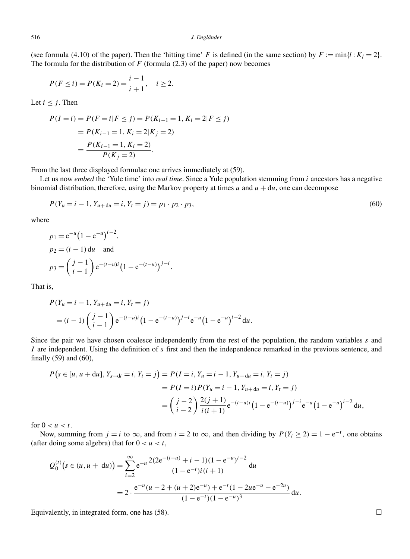(see formula (4.10) of the paper). Then the 'hitting time' *F* is defined (in the same section) by  $F := min\{l : K_l = 2\}$ . The formula for the distribution of *F* (formula *(*2*.*3*)* of the paper) now becomes

$$
P(F \le i) = P(K_i = 2) = \frac{i-1}{i+1}, \quad i \ge 2.
$$

Let  $i \leq j$ . Then

$$
P(I = i) = P(F = i | F \le j) = P(K_{i-1} = 1, K_i = 2 | F \le j)
$$
  
=  $P(K_{i-1} = 1, K_i = 2 | K_j = 2)$   
=  $\frac{P(K_{i-1} = 1, K_i = 2)}{P(K_j = 2)}$ .

From the last three displayed formulae one arrives immediately at (59).

Let us now *embed* the 'Yule time' into *real time*. Since a Yule population stemming from *i* ancestors has a negative binomial distribution, therefore, using the Markov property at times  $u$  and  $u + du$ , one can decompose

$$
P(Y_u = i - 1, Y_{u+du} = i, Y_t = j) = p_1 \cdot p_2 \cdot p_3,\tag{60}
$$

where

$$
P(Y_u = i - 1, Y_{u + du} = i, Y_t = j) = p_1 \cdot \ldots
$$
  
\n
$$
p_1 = e^{-u} (1 - e^{-u})^{i-2},
$$
  
\n
$$
p_2 = (i - 1) du \text{ and}
$$
  
\n
$$
p_3 = {j - 1 \choose i - 1} e^{-(t - u)i} (1 - e^{-(t - u)})^{j - i}.
$$

That is,

s,  
\n
$$
P(Y_u = i - 1, Y_{u+du} = i, Y_t = j)
$$
\n
$$
= (i - 1) \left( \begin{array}{c} j - 1 \\ i - 1 \end{array} \right) e^{-(t - u)i} (1 - e^{-(t - u)})^{j - i} e^{-u} (1 - e^{-u})^{i - 2} du.
$$

Since the pair we have chosen coalesce independently from the rest of the population, the random variables *s* and *I* are independent. Using the definition of *s* first and then the independence remarked in the previous sentence, and finally (59) and (60),

$$
P(s \in [u, u + du], Y_{s+dt} = i, Y_t = j) = P(I = i, Y_u = i - 1, Y_{u+du} = i, Y_t = j)
$$
  
= 
$$
P(I = i) P(Y_u = i - 1, Y_{u+du} = i, Y_t = j)
$$
  
= 
$$
\left(\frac{j-2}{i-2}\right) \frac{2(j+1)}{i(i+1)} e^{-(t-u)i} \left(1 - e^{-(t-u)}\right)^{j-i} e^{-u} \left(1 - e^{-u}\right)^{i-2} du,
$$

for  $0 < u < t$ .

Now, summing from *j* = *i* to ∞, and from *i* = 2 to ∞, and then dividing by  $P(Y_t \ge 2) = 1 - e^{-t}$ , one obtains ter doing some algebra) that for  $0 < u < t$ ,<br>  $Q_0^{(t)} (s \in (u, u + du)) = \sum_{k=0}^{\infty} e^{-u} \frac{2(2e^{-(t-u)} + i - 1)(1 - e^{-u})^{i-2}}{(1 -$ (after doing some algebra) that for  $0 < u < t$ ,

$$
Q_0^{(t)}(s \in (u, u + du)) = \sum_{i=2}^{\infty} e^{-u} \frac{2(2e^{-(t-u)} + i - 1)(1 - e^{-u})^{i-2}}{(1 - e^{-t})i(i + 1)} du
$$
  
= 
$$
2 \cdot \frac{e^{-u}(u - 2 + (u + 2)e^{-u}) + e^{-t}(1 - 2ue^{-u} - e^{-2u})}{(1 - e^{-t})(1 - e^{-u})^3} du.
$$

Equivalently, in integrated form, one has  $(58)$ .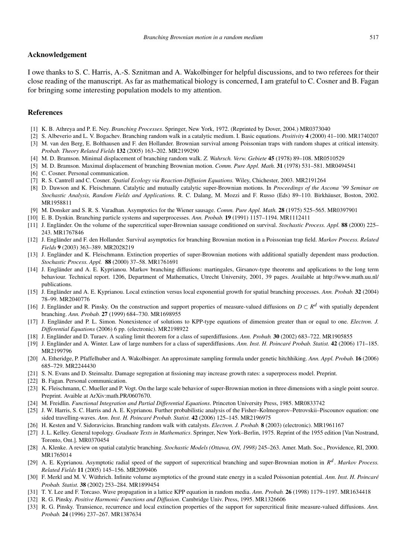### **Acknowledgement**

I owe thanks to S. C. Harris, A.-S. Sznitman and A. Wakolbinger for helpful discussions, and to two referees for their close reading of the manuscript. As far as mathematical biology is concerned, I am grateful to C. Cosner and B. Fagan for bringing some interesting population models to my attention.

# **References**

- [1] K. B. Athreya and P. E. Ney. *Branching Processes*. Springer, New York, 1972. (Reprinted by Dover, 2004.) MR0373040
- [2] S. Albeverio and L. V. Bogachev. Branching random walk in a catalytic medium. I. Basic equations. *Positivity* **4** (2000) 41–100. MR1740207 [3] M. van den Berg, E. Bolthausen and F. den Hollander. Brownian survival among Poissonian traps with random shapes at critical intensity.
- *Probab. Theory Related Fields* **132** (2005) 163–202. MR2199290 [4] M. D. Bramson. Minimal displacement of branching random walk. *Z. Wahrsch. Verw. Gebiete* **45** (1978) 89–108. MR0510529
- [5] M. D. Bramson. Maximal displacement of branching Brownian motion. *Comm. Pure Appl. Math.* **31** (1978) 531–581. MR0494541
- [6] C. Cosner. Personal communication.
- [7] R. S. Cantrell and C. Cosner. *Spatial Ecology via Reaction-Diffusion Equations.* Wiley, Chichester, 2003. MR2191264
- [8] D. Dawson and K. Fleischmann. Catalytic and mutually catalytic super-Brownian motions. In *Proceedings of the Ascona '99 Seminar on Stochastic Analysis, Random Fields and Applications.* R. C. Dalang, M. Mozzi and F. Russo (Eds) 89–110. Birkhäuser, Boston, 2002. MR1958811
- [9] M. Donsker and S. R. S. Varadhan. Asymptotics for the Wiener sausage. *Comm. Pure Appl. Math.* **28** (1975) 525–565. MR0397901
- [10] E. B. Dynkin. Branching particle systems and superprocesses. *Ann. Probab.* **19** (1991) 1157–1194. MR1112411
- [11] J. Engländer. On the volume of the supercritical super-Brownian sausage conditioned on survival. *Stochastic Process. Appl.* **88** (2000) 225– 243. MR1767846
- [12] J. Engländer and F. den Hollander. Survival asymptotics for branching Brownian motion in a Poissonian trap field. *Markov Process. Related Fields* **9** (2003) 363–389. MR2028219
- [13] J. Engländer and K. Fleischmann. Extinction properties of super-Brownian motions with additional spatially dependent mass production. *Stochastic Process. Appl.* **88** (2000) 37–58. MR1761691
- [14] J. Engländer and A. E. Kyprianou. Markov branching diffusions: martingales, Girsanov-type theorems and applications to the long term behaviour. Technical report. 1206, Department of Mathematics, Utrecht University, 2001, 39 pages. Available at http://www.math.uu.nl/ publications.
- [15] J. Engländer and A. E. Kyprianou. Local extinction versus local exponential growth for spatial branching processes. *Ann. Probab.* **32** (2004) 78–99. MR2040776
- [16] J. Engländer and R. Pinsky. On the construction and support properties of measure-valued diffusions on *D* ⊂ *R<sup>d</sup>* with spatially dependent branching. *Ann. Probab.* **27** (1999) 684–730. MR1698955
- [17] J. Engländer and P. L. Simon. Nonexistence of solutions to KPP-type equations of dimension greater than or equal to one. *Electron. J. Differential Equations* (2006) 6 pp. (electronic). MR2198922
- [18] J. Engländer and D. Turaev. A scaling limit theorem for a class of superdiffusions. *Ann. Probab.* **30** (2002) 683–722. MR1905855
- [19] J. Engländer and A. Winter. Law of large numbers for a class of superdiffusions. *Ann. Inst. H. Poincaré Probab. Statist.* **42** (2006) 171–185. MR2199796
- [20] A. Etheridge, P. Pfaffelhuber and A. Wakolbinger. An approximate sampling formula under genetic hitchhiking. *Ann. Appl. Probab.* **16** (2006) 685–729. MR2244430
- [21] S. N. Evans and D. Steinsaltz. Damage segregation at fissioning may increase growth rates: a superprocess model. Preprint.
- [22] B. Fagan. Personal communication.
- [23] K. Fleischmann, C. Mueller and P. Vogt. On the large scale behavior of super-Brownian motion in three dimensions with a single point source. Preprint. Avaible at ArXiv:math.PR/0607670.
- [24] M. Freidlin. *Functional Integration and Partial Differential Equations*. Princeton University Press, 1985. MR0833742
- [25] J. W. Harris, S. C. Harris and A. E. Kyprianou. Further probabilistic analysis of the Fisher–Kolmogorov–Petrovskii–Piscounov equation: one sided travelling-waves. *Ann. Inst. H. Poincaré Probab. Statist.* **42** (2006) 125–145. MR2196975
- [26] H. Kesten and V. Sidoravicius. Branching random walk with catalysts. *Electron. J. Probab.* **8** (2003) (electronic). MR1961167
- [27] J. L. Kelley. General topology. *Graduate Texts in Mathematics*. Springer, New York–Berlin, 1975. Reprint of the 1955 edition [Van Nostrand, Toronto, Ont.]. MR0370454
- [28] A. Klenke. A review on spatial catalytic branching. *Stochastic Models (Ottawa, ON, 1998)* 245–263. Amer. Math. Soc., Providence, RI, 2000. MR1765014
- [29] A. E. Kyprianou. Asymptotic radial speed of the support of supercritical branching and super-Brownian motion in *R<sup>d</sup>* . *Markov Process. Related Fields* **11** (2005) 145–156. MR2099406
- [30] F. Merkl and M. V. Wüthrich. Infinite volume asymptotics of the ground state energy in a scaled Poissonian potential. *Ann. Inst. H. Poincaré Probab. Statist.* **38** (2002) 253–284. MR1899454
- [31] T. Y. Lee and F. Torcaso. Wave propagation in a lattice KPP equation in random media. *Ann. Probab.* **26** (1998) 1179–1197. MR1634418
- [32] R. G. Pinsky. *Positive Harmonic Functions and Diffusion*. Cambridge Univ. Press, 1995. MR1326606
- [33] R. G. Pinsky. Transience, recurrence and local extinction properties of the support for supercritical finite measure-valued diffusions. *Ann. Probab.* **24** (1996) 237–267. MR1387634